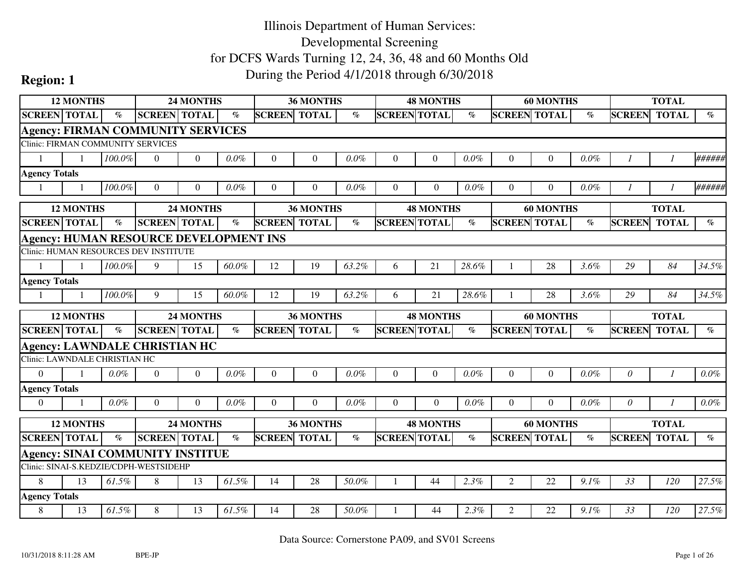|                               | <b>12 MONTHS</b><br>24 MONTHS<br><b>SCREEN TOTAL</b><br><b>SCREEN TOTAL</b> |                          |                                               |                  |                             |                     | 36 MONTHS        |                 |                     | <b>48 MONTHS</b> |         |                     | <b>60 MONTHS</b> |         |               | <b>TOTAL</b>  |                             |
|-------------------------------|-----------------------------------------------------------------------------|--------------------------|-----------------------------------------------|------------------|-----------------------------|---------------------|------------------|-----------------|---------------------|------------------|---------|---------------------|------------------|---------|---------------|---------------|-----------------------------|
|                               |                                                                             | $\overline{\mathcal{C}}$ |                                               |                  | $\mathcal{O}_{\mathcal{O}}$ | <b>SCREEN TOTAL</b> |                  | $\mathcal{O}_0$ | <b>SCREEN TOTAL</b> |                  | $\%$    | <b>SCREEN TOTAL</b> |                  | $\%$    | <b>SCREEN</b> | <b>TOTAL</b>  | $\mathcal{O}_{\mathcal{O}}$ |
|                               |                                                                             |                          | <b>Agency: FIRMAN COMMUNITY SERVICES</b>      |                  |                             |                     |                  |                 |                     |                  |         |                     |                  |         |               |               |                             |
|                               |                                                                             |                          | <b>Clinic: FIRMAN COMMUNITY SERVICES</b>      |                  |                             |                     |                  |                 |                     |                  |         |                     |                  |         |               |               |                             |
|                               |                                                                             | $100.0\%$                | $\Omega$                                      | $\theta$         | $0.0\%$                     | $\theta$            | $\Omega$         | $0.0\%$         | $\Omega$            | $\Omega$         | $0.0\%$ | $\Omega$            | $\overline{0}$   | $0.0\%$ |               |               | ######                      |
| <b>Agency Totals</b>          |                                                                             |                          |                                               |                  |                             |                     |                  |                 |                     |                  |         |                     |                  |         |               |               |                             |
|                               |                                                                             | 100.0%                   | $\Omega$                                      | $\Omega$         | $0.0\%$                     | $\Omega$            | $\Omega$         | $0.0\%$         | $\Omega$            | $\Omega$         | $0.0\%$ | $\Omega$            | $\theta$         | 0.0%    | - 1           |               | ######                      |
|                               | <b>12 MONTHS</b>                                                            |                          |                                               | <b>24 MONTHS</b> |                             |                     | 36 MONTHS        |                 |                     | <b>48 MONTHS</b> |         |                     | <b>60 MONTHS</b> |         |               | <b>TOTAL</b>  |                             |
| <b>SCREEN TOTAL</b>           |                                                                             | $\%$                     | <b>SCREEN TOTAL</b>                           |                  | $\%$                        | <b>SCREEN</b>       | <b>TOTAL</b>     | $\%$            | <b>SCREEN TOTAL</b> |                  | $\%$    | <b>SCREEN</b>       | <b>TOTAL</b>     | $\%$    | <b>SCREEN</b> | <b>TOTAL</b>  | $\%$                        |
|                               |                                                                             |                          | <b>Agency: HUMAN RESOURCE DEVELOPMENT INS</b> |                  |                             |                     |                  |                 |                     |                  |         |                     |                  |         |               |               |                             |
|                               |                                                                             |                          | Clinic: HUMAN RESOURCES DEV INSTITUTE         |                  |                             |                     |                  |                 |                     |                  |         |                     |                  |         |               |               |                             |
|                               |                                                                             | 100.0%                   | 9                                             | 15               | 60.0%                       | 12                  | 19               | 63.2%           | 6                   | 21               | 28.6%   |                     | 28               | 3.6%    | 29            | 84            | 34.5%                       |
| <b>Agency Totals</b>          |                                                                             |                          |                                               |                  |                             |                     |                  |                 |                     |                  |         |                     |                  |         |               |               |                             |
|                               |                                                                             | 100.0%                   | 9                                             | 15               | 60.0%                       | 12                  | 19               | 63.2%           | 6                   | 21               | 28.6%   |                     | 28               | 3.6%    | 29            | 84            | 34.5%                       |
|                               |                                                                             |                          |                                               |                  |                             |                     |                  |                 |                     |                  |         |                     |                  |         |               |               |                             |
|                               | <b>12 MONTHS</b>                                                            |                          |                                               | <b>24 MONTHS</b> |                             |                     | <b>36 MONTHS</b> |                 |                     | <b>48 MONTHS</b> |         |                     | <b>60 MONTHS</b> |         |               | <b>TOTAL</b>  |                             |
| <b>SCREEN TOTAL</b>           |                                                                             | $\%$                     | <b>SCREEN</b> TOTAL                           |                  | $\%$                        | <b>SCREEN TOTAL</b> |                  | $\%$            | <b>SCREEN TOTAL</b> |                  | $\%$    | <b>SCREEN TOTAL</b> |                  | $\%$    | <b>SCREEN</b> | <b>TOTAL</b>  | $\%$                        |
|                               |                                                                             |                          | <b>Agency: LAWNDALE CHRISTIAN HC</b>          |                  |                             |                     |                  |                 |                     |                  |         |                     |                  |         |               |               |                             |
| Clinic: LAWNDALE CHRISTIAN HC |                                                                             |                          |                                               |                  |                             |                     |                  |                 |                     |                  |         |                     |                  |         |               |               |                             |
| $\Omega$                      |                                                                             | 0.0%                     | $\overline{0}$                                | $\overline{0}$   | $0.0\%$                     | $\theta$            | $\Omega$         | 0.0%            | $\Omega$            | $\Omega$         | $0.0\%$ | $\Omega$            | $\overline{0}$   | 0.0%    | $\theta$      | $\mathcal{I}$ | $0.0\%$                     |
| <b>Agency Totals</b>          |                                                                             |                          |                                               |                  |                             |                     |                  |                 |                     |                  |         |                     |                  |         |               |               |                             |
| $\theta$                      |                                                                             | $0.0\%$                  | $\theta$                                      | $\Omega$         | $0.0\%$                     | $\theta$            | $\Omega$         | 0.0%            | $\Omega$            | $\Omega$         | $0.0\%$ | $\Omega$            | $\theta$         | 0.0%    | $\theta$      |               | $0.0\%$                     |
|                               | <b>12 MONTHS</b>                                                            |                          |                                               | 24 MONTHS        |                             |                     | 36 MONTHS        |                 |                     | <b>48 MONTHS</b> |         |                     | <b>60 MONTHS</b> |         |               | <b>TOTAL</b>  |                             |
| <b>SCREEN TOTAL</b>           |                                                                             | $\%$                     | <b>SCREEN TOTAL</b>                           |                  | $\%$                        | <b>SCREEN TOTAL</b> |                  | $\%$            | <b>SCREEN TOTAL</b> |                  | $\%$    | <b>SCREEN TOTAL</b> |                  | $\%$    | <b>SCREEN</b> | <b>TOTAL</b>  | $\%$                        |
|                               |                                                                             |                          | <b>Agency: SINAI COMMUNITY INSTITUE</b>       |                  |                             |                     |                  |                 |                     |                  |         |                     |                  |         |               |               |                             |
|                               |                                                                             |                          | Clinic: SINAI-S.KEDZIE/CDPH-WESTSIDEHP        |                  |                             |                     |                  |                 |                     |                  |         |                     |                  |         |               |               |                             |
| 8                             | 13                                                                          | 61.5%                    | 8                                             | 13               | 61.5%                       | 14                  | 28               | 50.0%           |                     | 44               | 2.3%    | $\overline{2}$      | 22               | 9.1%    | 33            | 120           | 27.5%                       |
| <b>Agency Totals</b>          |                                                                             |                          |                                               |                  |                             |                     |                  |                 |                     |                  |         |                     |                  |         |               |               | 27.5%                       |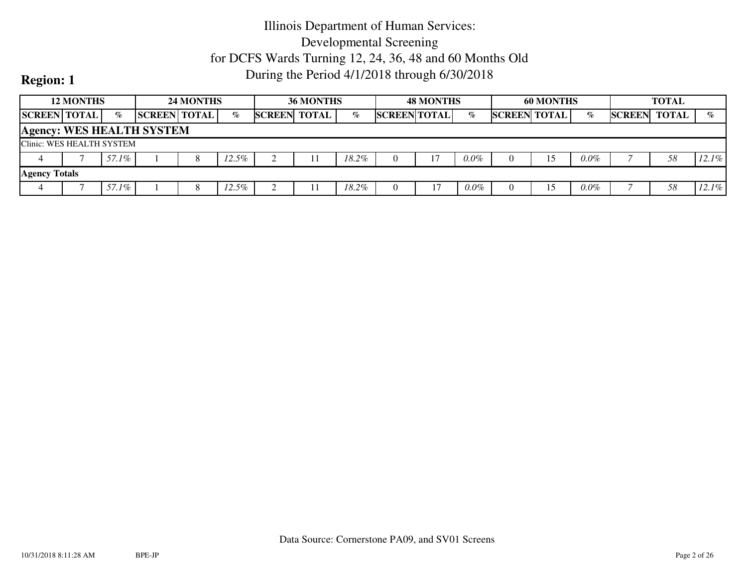|                           | <b>12 MONTHS</b> |       |                                  | <b>24 MONTHS</b> |          |                     | <b>36 MONTHS</b> |       | <b>48 MONTHS</b>    |         |                     | <b>60 MONTHS</b> |         |               | <b>TOTAL</b> |          |
|---------------------------|------------------|-------|----------------------------------|------------------|----------|---------------------|------------------|-------|---------------------|---------|---------------------|------------------|---------|---------------|--------------|----------|
| <b>SCREEN TOTAL</b>       |                  | $\%$  | <b>SCREEN TOTAL</b>              |                  | $\%$     | <b>SCREEN TOTAL</b> |                  | %     | <b>SCREEN TOTAL</b> | $\%$    | <b>SCREEN TOTAL</b> |                  | $\%$    | <b>SCREEN</b> | TOTAL        | $\%$     |
|                           |                  |       | <b>Agency: WES HEALTH SYSTEM</b> |                  |          |                     |                  |       |                     |         |                     |                  |         |               |              |          |
| Clinic: WES HEALTH SYSTEM |                  |       |                                  |                  |          |                     |                  |       |                     |         |                     |                  |         |               |              |          |
|                           |                  | 57.1% |                                  |                  | $12.5\%$ |                     |                  | 18.2% |                     | $0.0\%$ |                     | 15               | $0.0\%$ |               | 58           | $12.1\%$ |
| <b>Agency Totals</b>      |                  |       |                                  |                  |          |                     |                  |       |                     |         |                     |                  |         |               |              |          |
|                           |                  | 57.1% |                                  |                  | $12.5\%$ |                     |                  | 18.2% |                     | $0.0\%$ |                     | 15               | $0.0\%$ |               | 58           | 12.1%    |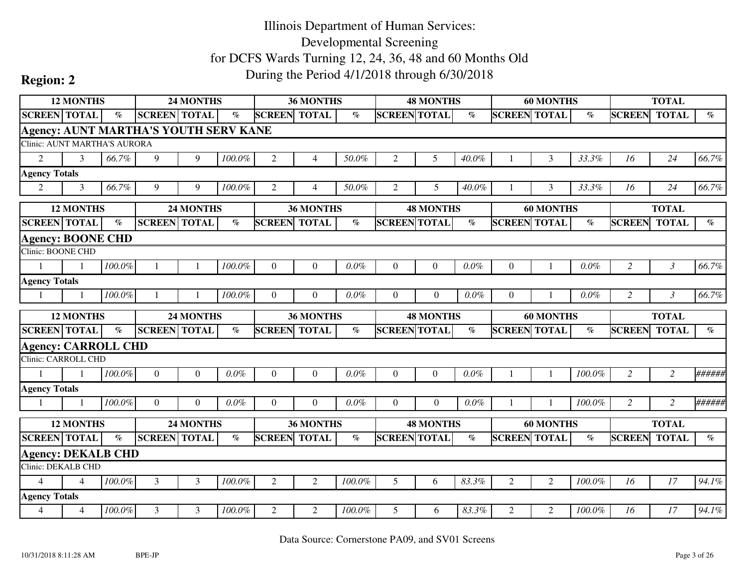|                                                        | 12 MONTHS                |           |                                              | <b>24 MONTHS</b> |                       |                     | 36 MONTHS        |           |                     | <b>48 MONTHS</b> |         |                     | <b>60 MONTHS</b> |                          |                | <b>TOTAL</b>   |                          |
|--------------------------------------------------------|--------------------------|-----------|----------------------------------------------|------------------|-----------------------|---------------------|------------------|-----------|---------------------|------------------|---------|---------------------|------------------|--------------------------|----------------|----------------|--------------------------|
| <b>SCREEN TOTAL</b>                                    |                          | $\%$      | <b>SCREEN TOTAL</b>                          |                  | $\%$                  | <b>SCREEN</b>       | <b>TOTAL</b>     | $\%$      | <b>SCREEN TOTAL</b> |                  | $\%$    | <b>SCREEN</b>       | <b>TOTAL</b>     | $\overline{\mathcal{C}}$ | <b>SCREEN</b>  | <b>TOTAL</b>   | $\overline{\mathcal{C}}$ |
|                                                        |                          |           | <b>Agency: AUNT MARTHA'S YOUTH SERV KANE</b> |                  |                       |                     |                  |           |                     |                  |         |                     |                  |                          |                |                |                          |
| Clinic: AUNT MARTHA'S AURORA                           |                          |           |                                              |                  |                       |                     |                  |           |                     |                  |         |                     |                  |                          |                |                |                          |
| $\overline{2}$                                         | 3                        | 66.7%     | 9                                            | 9                | 100.0%                | 2                   | 4                | 50.0%     | 2                   | 5                | 40.0%   |                     | 3                | 33.3%                    | 16             | 24             | 66.7%                    |
| <b>Agency Totals</b>                                   |                          |           |                                              |                  |                       |                     |                  |           |                     |                  |         |                     |                  |                          |                |                |                          |
| $\overline{2}$                                         | 3                        | 66.7%     | 9                                            | 9                | 100.0%                | 2                   | 4                | 50.0%     | 2                   | 5                | 40.0%   |                     | 3                | 33.3%                    | 16             | 24             | 66.7%                    |
|                                                        | <b>12 MONTHS</b>         |           |                                              | <b>24 MONTHS</b> |                       |                     | 36 MONTHS        |           |                     | <b>48 MONTHS</b> |         |                     | <b>60 MONTHS</b> |                          |                | <b>TOTAL</b>   |                          |
| <b>SCREEN TOTAL</b>                                    |                          | $\%$      | <b>SCREEN TOTAL</b>                          |                  | $\emph{v}_{\emph{0}}$ | <b>SCREEN</b>       | <b>TOTAL</b>     | $\%$      | <b>SCREEN TOTAL</b> |                  | $\%$    | <b>SCREEN</b>       | <b>TOTAL</b>     | $\%$                     | <b>SCREEN</b>  | <b>TOTAL</b>   | $\%$                     |
| <b>Agency: BOONE CHD</b>                               |                          |           |                                              |                  |                       |                     |                  |           |                     |                  |         |                     |                  |                          |                |                |                          |
| Clinic: BOONE CHD                                      |                          |           |                                              |                  |                       |                     |                  |           |                     |                  |         |                     |                  |                          |                |                |                          |
| $\mathbf{1}$                                           |                          | 100.0%    |                                              |                  | 100.0%                | $\theta$            | $\Omega$         | 0.0%      | $\Omega$            | $\overline{0}$   | $0.0\%$ | $\overline{0}$      |                  | $0.0\%$                  | $\overline{2}$ | $\mathfrak{Z}$ | 66.7%                    |
| <b>Agency Totals</b>                                   |                          |           |                                              |                  |                       |                     |                  |           |                     |                  |         |                     |                  |                          |                |                |                          |
|                                                        |                          | 100.0%    |                                              |                  | 100.0%                | $\Omega$            | $\Omega$         | $0.0\%$   | $\Omega$            | $\Omega$         | 0.0%    | $\theta$            |                  | $0.0\%$                  | $\overline{2}$ | $\mathfrak{Z}$ | 66.7%                    |
|                                                        |                          |           |                                              |                  |                       |                     |                  |           |                     |                  |         |                     |                  |                          |                |                |                          |
|                                                        | <b>12 MONTHS</b>         |           |                                              | 24 MONTHS        |                       |                     | <b>36 MONTHS</b> |           |                     | <b>48 MONTHS</b> |         |                     | <b>60 MONTHS</b> |                          |                | <b>TOTAL</b>   |                          |
| <b>SCREEN TOTAL</b>                                    |                          | $\%$      | <b>SCREEN TOTAL</b>                          |                  | $\%$                  | <b>SCREEN TOTAL</b> |                  | $\%$      | <b>SCREEN TOTAL</b> |                  | $\%$    | <b>SCREEN TOTAL</b> |                  | $\%$                     | <b>SCREEN</b>  | <b>TOTAL</b>   | $\%$                     |
| <b>Agency: CARROLL CHD</b>                             |                          |           |                                              |                  |                       |                     |                  |           |                     |                  |         |                     |                  |                          |                |                |                          |
| <b>Clinic: CARROLL CHD</b>                             |                          |           |                                              |                  |                       |                     |                  |           |                     |                  |         |                     |                  |                          |                |                |                          |
| $\mathbf{1}$                                           |                          | 100.0%    | $\overline{0}$                               | $\Omega$         | $0.0\%$               | $\Omega$            | $\Omega$         | $0.0\%$   | $\Omega$            | $\Omega$         | $0.0\%$ |                     |                  | 100.0%                   | $\overline{2}$ | 2              | ######                   |
| <b>Agency Totals</b>                                   |                          |           |                                              |                  |                       |                     |                  |           |                     |                  |         |                     |                  |                          |                |                |                          |
| -1                                                     |                          | 100.0%    | $\overline{0}$                               | $\Omega$         | $0.0\%$               | $\overline{0}$      | $\theta$         | 0.0%      | $\Omega$            | $\overline{0}$   | 0.0%    |                     |                  | 100.0%                   | 2              | 2              | ######                   |
|                                                        | <b>12 MONTHS</b>         |           |                                              | 24 MONTHS        |                       |                     | 36 MONTHS        |           |                     | <b>48 MONTHS</b> |         |                     | <b>60 MONTHS</b> |                          |                | <b>TOTAL</b>   |                          |
| <b>SCREEN TOTAL</b>                                    |                          | $\%$      | <b>SCREEN</b> TOTAL                          |                  | $\emph{v}_{\emph{0}}$ | <b>SCREEN TOTAL</b> |                  | $\%$      | <b>SCREEN TOTAL</b> |                  | $\%$    | <b>SCREEN TOTAL</b> |                  | $\%$                     | <b>SCREEN</b>  | <b>TOTAL</b>   | $\%$                     |
|                                                        |                          |           |                                              |                  |                       |                     |                  |           |                     |                  |         |                     |                  |                          |                |                |                          |
| <b>Agency: DEKALB CHD</b><br><b>Clinic: DEKALB CHD</b> |                          |           |                                              |                  |                       |                     |                  |           |                     |                  |         |                     |                  |                          |                |                |                          |
| $\overline{4}$                                         | $\overline{\mathcal{L}}$ | $100.0\%$ | 3                                            | $\overline{3}$   | 100.0%                | $\overline{2}$      | $\overline{2}$   | $100.0\%$ | 5                   | 6                | 83.3%   | $\overline{2}$      | $\overline{2}$   | 100.0%                   | 16             | 17             | 94.1%                    |
| <b>Agency Totals</b>                                   |                          |           |                                              |                  |                       |                     |                  |           |                     |                  |         |                     |                  |                          |                |                |                          |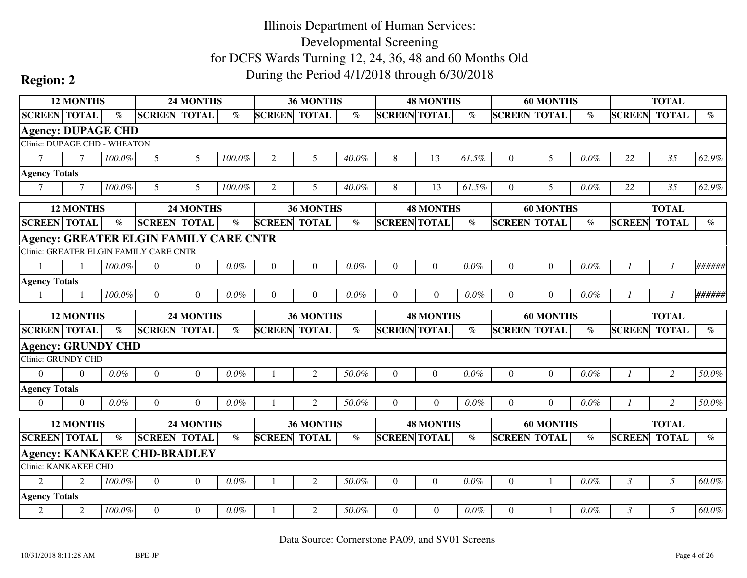|                              | <b>12 MONTHS</b> | 24 MONTHS<br><b>SCREEN TOTAL</b> |                                               |                |                                |                     | 36 MONTHS        |         |                     | <b>48 MONTHS</b> |         |                     | <b>60 MONTHS</b> |         |                | <b>TOTAL</b>   |                       |
|------------------------------|------------------|----------------------------------|-----------------------------------------------|----------------|--------------------------------|---------------------|------------------|---------|---------------------|------------------|---------|---------------------|------------------|---------|----------------|----------------|-----------------------|
| <b>SCREEN TOTAL</b>          |                  | $\%$                             |                                               |                | $\%$                           | <b>SCREEN</b>       | <b>TOTAL</b>     | $\%$    | <b>SCREEN TOTAL</b> |                  | $\%$    | <b>SCREEN TOTAL</b> |                  | $\%$    | <b>SCREEN</b>  | <b>TOTAL</b>   | $\%$                  |
| <b>Agency: DUPAGE CHD</b>    |                  |                                  |                                               |                |                                |                     |                  |         |                     |                  |         |                     |                  |         |                |                |                       |
| Clinic: DUPAGE CHD - WHEATON |                  |                                  |                                               |                |                                |                     |                  |         |                     |                  |         |                     |                  |         |                |                |                       |
| $\tau$                       | $\tau$           | 100.0%                           | 5                                             | 5              | $100.0\%$                      | 2                   | 5                | 40.0%   | 8                   | 13               | 61.5%   | $\overline{0}$      | 5                | 0.0%    | 22             | 35             | 62.9%                 |
| <b>Agency Totals</b>         |                  |                                  |                                               |                |                                |                     |                  |         |                     |                  |         |                     |                  |         |                |                |                       |
| $\tau$                       | $\tau$           | 100.0%                           | 5                                             | 5              | 100.0%                         | 2                   | 5                | 40.0%   | 8                   | 13               | 61.5%   | $\Omega$            | 5                | 0.0%    | 22             | 35             | 62.9%                 |
|                              | <b>12 MONTHS</b> |                                  |                                               | 24 MONTHS      |                                |                     | 36 MONTHS        |         |                     | <b>48 MONTHS</b> |         |                     | <b>60 MONTHS</b> |         |                | <b>TOTAL</b>   |                       |
| <b>SCREEN TOTAL</b>          |                  | $\%$                             | <b>SCREEN TOTAL</b>                           |                | $\mathcal{O}_{\!\!\mathit{O}}$ | <b>SCREEN</b>       | <b>TOTAL</b>     | $\%$    | <b>SCREEN TOTAL</b> |                  | $\%$    | <b>SCREEN</b>       | <b>TOTAL</b>     | $\%$    | <b>SCREEN</b>  | <b>TOTAL</b>   | $\emph{v}_{\emph{0}}$ |
|                              |                  |                                  | <b>Agency: GREATER ELGIN FAMILY CARE CNTR</b> |                |                                |                     |                  |         |                     |                  |         |                     |                  |         |                |                |                       |
|                              |                  |                                  | Clinic: GREATER ELGIN FAMILY CARE CNTR        |                |                                |                     |                  |         |                     |                  |         |                     |                  |         |                |                |                       |
|                              |                  | 100.0%                           | $\Omega$                                      | $\theta$       | $0.0\%$                        | $\Omega$            | $\Omega$         | 0.0%    | $\Omega$            | $\Omega$         | 0.0%    | $\mathbf{0}$        | $\boldsymbol{0}$ | 0.0%    | -1             | $\mathcal{I}$  | ######                |
| <b>Agency Totals</b>         |                  |                                  |                                               |                |                                |                     |                  |         |                     |                  |         |                     |                  |         |                |                |                       |
|                              |                  | 100.0%                           | $\Omega$                                      | $\Omega$       | $0.0\%$                        | $\Omega$            | $\Omega$         | $0.0\%$ | $\Omega$            | $\Omega$         | $0.0\%$ | $\Omega$            | $\Omega$         | 0.0%    |                |                | ######                |
|                              |                  |                                  |                                               |                |                                |                     |                  |         |                     |                  |         |                     |                  |         |                |                |                       |
|                              | <b>12 MONTHS</b> |                                  |                                               | 24 MONTHS      |                                |                     | <b>36 MONTHS</b> |         |                     | <b>48 MONTHS</b> |         |                     | <b>60 MONTHS</b> |         |                | <b>TOTAL</b>   |                       |
| <b>SCREEN TOTAL</b>          |                  | $\%$                             | <b>SCREEN TOTAL</b>                           |                | $\%$                           | <b>SCREEN TOTAL</b> |                  | $\%$    | <b>SCREEN TOTAL</b> |                  | $\%$    | <b>SCREEN TOTAL</b> |                  | $\%$    | <b>SCREEN</b>  | <b>TOTAL</b>   | $\%$                  |
| <b>Agency: GRUNDY CHD</b>    |                  |                                  |                                               |                |                                |                     |                  |         |                     |                  |         |                     |                  |         |                |                |                       |
| Clinic: GRUNDY CHD           |                  |                                  |                                               |                |                                |                     |                  |         |                     |                  |         |                     |                  |         |                |                |                       |
| $\Omega$                     | $\Omega$         | $0.0\%$                          | $\mathbf{0}$                                  | $\Omega$       | $0.0\%$                        |                     | $\overline{2}$   | 50.0%   | $\Omega$            | $\Omega$         | $0.0\%$ | $\mathbf{0}$        | $\mathbf{0}$     | 0.0%    |                | $\overline{c}$ | 50.0%                 |
| <b>Agency Totals</b>         |                  |                                  |                                               |                |                                |                     |                  |         |                     |                  |         |                     |                  |         |                |                |                       |
| $\overline{0}$               | $\theta$         | $0.0\%$                          | $\theta$                                      | $\Omega$       | $0.0\%$                        |                     | 2                | 50.0%   | $\Omega$            | $\overline{0}$   | 0.0%    | $\overline{0}$      | $\overline{0}$   | $0.0\%$ | 1              | $\overline{2}$ | 50.0%                 |
|                              | <b>12 MONTHS</b> |                                  |                                               | 24 MONTHS      |                                |                     | 36 MONTHS        |         |                     | <b>48 MONTHS</b> |         |                     | <b>60 MONTHS</b> |         |                | <b>TOTAL</b>   |                       |
| <b>SCREEN TOTAL</b>          |                  | $\%$                             | <b>SCREEN TOTAL</b>                           |                | $\%$                           | <b>SCREEN TOTAL</b> |                  | $\%$    | <b>SCREEN TOTAL</b> |                  | $\%$    | <b>SCREEN TOTAL</b> |                  | $\%$    | <b>SCREEN</b>  | <b>TOTAL</b>   | $\%$                  |
|                              |                  |                                  | <b>Agency: KANKAKEE CHD-BRADLEY</b>           |                |                                |                     |                  |         |                     |                  |         |                     |                  |         |                |                |                       |
| Clinic: KANKAKEE CHD         |                  |                                  |                                               |                |                                |                     |                  |         |                     |                  |         |                     |                  |         |                |                |                       |
| 2                            | 2                | $100.0\%$                        | $\boldsymbol{0}$                              | $\overline{0}$ | $0.0\%$                        |                     | $\overline{2}$   | 50.0%   | $\Omega$            | $\mathbf{0}$     | 0.0%    | $\mathbf{0}$        | -1               | 0.0%    | $\mathfrak{Z}$ | 5              | 60.0%                 |
| <b>Agency Totals</b>         |                  |                                  |                                               |                |                                |                     |                  |         |                     |                  |         |                     |                  |         |                |                |                       |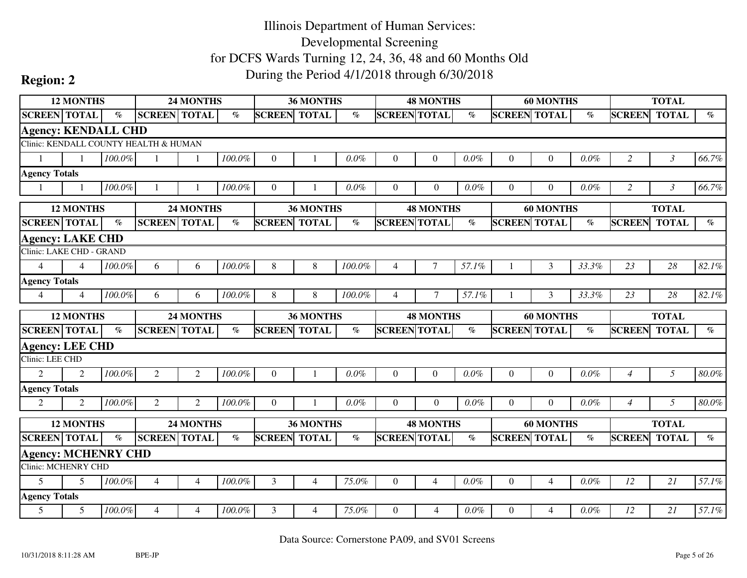|                                                          | <b>12 MONTHS</b><br>24 MONTHS<br><b>SCREEN TOTAL</b> |                       |                                       |                  |                       |                     | 36 MONTHS        |         |                     | <b>48 MONTHS</b> |                       |                     | <b>60 MONTHS</b> |                       |                | <b>TOTAL</b>   |                                |
|----------------------------------------------------------|------------------------------------------------------|-----------------------|---------------------------------------|------------------|-----------------------|---------------------|------------------|---------|---------------------|------------------|-----------------------|---------------------|------------------|-----------------------|----------------|----------------|--------------------------------|
| <b>SCREEN TOTAL</b>                                      |                                                      | $\%$                  |                                       |                  | $\%$                  | <b>SCREEN TOTAL</b> |                  | $\%$    | <b>SCREEN TOTAL</b> |                  | $\%$                  | <b>SCREEN TOTAL</b> |                  | $\%$                  | <b>SCREEN</b>  | <b>TOTAL</b>   | $\%$                           |
| <b>Agency: KENDALL CHD</b>                               |                                                      |                       |                                       |                  |                       |                     |                  |         |                     |                  |                       |                     |                  |                       |                |                |                                |
|                                                          |                                                      |                       | Clinic: KENDALL COUNTY HEALTH & HUMAN |                  |                       |                     |                  |         |                     |                  |                       |                     |                  |                       |                |                |                                |
|                                                          |                                                      | 100.0%                |                                       | 1                | 100.0%                | $\theta$            | $\mathbf{1}$     | $0.0\%$ | $\Omega$            | $\theta$         | $0.0\%$               | $\mathbf{0}$        | $\boldsymbol{0}$ | 0.0%                  | $\overline{2}$ | $\mathfrak{Z}$ | 66.7%                          |
| <b>Agency Totals</b>                                     |                                                      |                       |                                       |                  |                       |                     |                  |         |                     |                  |                       |                     |                  |                       |                |                |                                |
|                                                          |                                                      | 100.0%                |                                       |                  | 100.0%                | $\theta$            |                  | $0.0\%$ | $\Omega$            | $\overline{0}$   | $0.0\%$               | $\overline{0}$      | $\boldsymbol{0}$ | 0.0%                  | 2              | $\mathfrak{Z}$ | 66.7%                          |
|                                                          | <b>12 MONTHS</b>                                     |                       |                                       | <b>24 MONTHS</b> |                       |                     | <b>36 MONTHS</b> |         |                     | <b>48 MONTHS</b> |                       |                     | <b>60 MONTHS</b> |                       |                | <b>TOTAL</b>   |                                |
| <b>SCREEN</b> TOTAL                                      |                                                      | $\emph{v}_{\emph{0}}$ | <b>SCREEN TOTAL</b>                   |                  | $\emph{v}_{\emph{0}}$ | <b>SCREEN</b>       | <b>TOTAL</b>     | $\%$    | <b>SCREEN TOTAL</b> |                  | $\%$                  | <b>SCREEN</b>       | <b>TOTAL</b>     | $\emph{v}_{\emph{0}}$ | <b>SCREEN</b>  | <b>TOTAL</b>   | $\mathcal{O}_{\!\!\mathit{O}}$ |
| <b>Agency: LAKE CHD</b>                                  |                                                      |                       |                                       |                  |                       |                     |                  |         |                     |                  |                       |                     |                  |                       |                |                |                                |
| Clinic: LAKE CHD - GRAND                                 |                                                      |                       |                                       |                  |                       |                     |                  |         |                     |                  |                       |                     |                  |                       |                |                |                                |
| $\overline{4}$                                           | $\boldsymbol{\Lambda}$                               | 100.0%                | 6                                     | 6                | 100.0%                | 8                   | 8                | 100.0%  | $\overline{4}$      | $\tau$           | 57.1%                 |                     | $\overline{3}$   | 33.3%                 | 23             | 28             | 82.1%                          |
| <b>Agency Totals</b>                                     |                                                      |                       |                                       |                  |                       |                     |                  |         |                     |                  |                       |                     |                  |                       |                |                |                                |
| $\overline{4}$                                           | $\Delta$                                             | 100.0%                | 6                                     | 6                | 100.0%                | 8                   | 8                | 100.0%  | $\overline{4}$      | $\tau$           | 57.1%                 |                     | 3                | 33.3%                 | 23             | 28             | 82.1%                          |
|                                                          |                                                      |                       |                                       |                  |                       |                     |                  |         |                     |                  |                       |                     |                  |                       |                |                |                                |
|                                                          | <b>12 MONTHS</b>                                     |                       |                                       | 24 MONTHS        |                       |                     | 36 MONTHS        |         |                     | <b>48 MONTHS</b> |                       |                     | <b>60 MONTHS</b> |                       |                | <b>TOTAL</b>   |                                |
| <b>SCREEN TOTAL</b>                                      |                                                      | $\mathcal{O}_0$       | <b>SCREEN TOTAL</b>                   |                  | $\%$                  | <b>SCREEN TOTAL</b> |                  | $\%$    | <b>SCREEN TOTAL</b> |                  | $\%$                  | <b>SCREEN TOTAL</b> |                  | $\%$                  | <b>SCREEN</b>  | <b>TOTAL</b>   | $\%$                           |
|                                                          |                                                      |                       |                                       |                  |                       |                     |                  |         |                     |                  |                       |                     |                  |                       |                |                |                                |
| <b>Agency: LEE CHD</b><br>Clinic: LEE CHD                |                                                      |                       |                                       |                  |                       |                     |                  |         |                     |                  |                       |                     |                  |                       |                |                |                                |
| $\overline{2}$                                           | $\mathcal{D}_{\mathcal{L}}$                          | 100.0%                | $\overline{2}$                        | 2                | 100.0%                | $\mathbf{0}$        | $\overline{1}$   | 0.0%    | $\Omega$            | $\Omega$         | 0.0%                  | $\overline{0}$      | $\mathbf{0}$     | $0.0\%$               | $\overline{4}$ | 5              | $80.0\%$                       |
| <b>Agency Totals</b>                                     |                                                      |                       |                                       |                  |                       |                     |                  |         |                     |                  |                       |                     |                  |                       |                |                |                                |
| 2                                                        | 2                                                    | 100.0%                | 2                                     | 2                | 100.0%                | $\Omega$            | -1               | 0.0%    | $\theta$            | $\overline{0}$   | 0.0%                  | $\overline{0}$      | $\overline{0}$   | $0.0\%$               | $\overline{4}$ | 5              | $80.0\%$                       |
|                                                          | <b>12 MONTHS</b>                                     |                       |                                       | 24 MONTHS        |                       |                     | 36 MONTHS        |         |                     | <b>48 MONTHS</b> |                       |                     | <b>60 MONTHS</b> |                       |                | <b>TOTAL</b>   |                                |
| <b>SCREEN</b> TOTAL                                      |                                                      | $\%$                  | <b>SCREEN</b> TOTAL                   |                  | $\emph{v}_{\emph{0}}$ | <b>SCREEN TOTAL</b> |                  | $\%$    | <b>SCREEN TOTAL</b> |                  | $\emph{v}_{\emph{0}}$ | <b>SCREEN TOTAL</b> |                  | $\%$                  | <b>SCREEN</b>  | <b>TOTAL</b>   | $\emph{v}_{\emph{0}}$          |
|                                                          |                                                      |                       |                                       |                  |                       |                     |                  |         |                     |                  |                       |                     |                  |                       |                |                |                                |
| <b>Agency: MCHENRY CHD</b><br><b>Clinic: MCHENRY CHD</b> |                                                      |                       |                                       |                  |                       |                     |                  |         |                     |                  |                       |                     |                  |                       |                |                |                                |
| 5                                                        | $\overline{5}$                                       | 100.0%                | $\overline{4}$                        | $\overline{4}$   | 100.0%                | $\overline{3}$      | 4                | 75.0%   | $\overline{0}$      | $\overline{4}$   | $0.0\%$               | $\mathbf{0}$        | $\overline{4}$   | 0.0%                  | 12             | 21             | 57.1%                          |
| <b>Agency Totals</b>                                     |                                                      |                       |                                       |                  |                       |                     |                  |         |                     |                  |                       |                     |                  |                       |                |                |                                |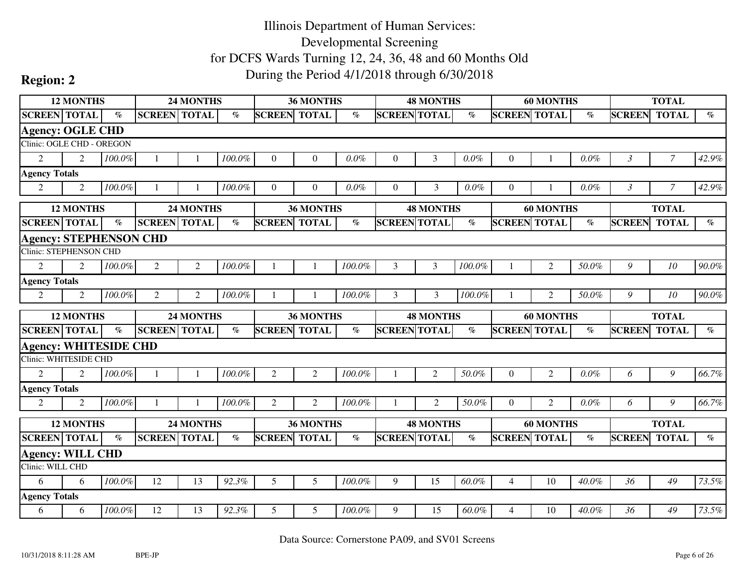|                                             | <b>12 MONTHS</b>            |                 |                     | <b>24 MONTHS</b> |        |                     | 36 MONTHS        |        |                     | <b>48 MONTHS</b> |                       |                     | <b>60 MONTHS</b> |         |                | <b>TOTAL</b>   |       |
|---------------------------------------------|-----------------------------|-----------------|---------------------|------------------|--------|---------------------|------------------|--------|---------------------|------------------|-----------------------|---------------------|------------------|---------|----------------|----------------|-------|
| <b>SCREEN TOTAL</b>                         |                             | $\mathcal{O}_0$ | <b>SCREEN TOTAL</b> |                  | $\%$   | <b>SCREEN</b>       | <b>TOTAL</b>     | $\%$   | <b>SCREEN TOTAL</b> |                  | $\%$                  | <b>SCREEN TOTAL</b> |                  | $\%$    | <b>SCREEN</b>  | <b>TOTAL</b>   | $\%$  |
| <b>Agency: OGLE CHD</b>                     |                             |                 |                     |                  |        |                     |                  |        |                     |                  |                       |                     |                  |         |                |                |       |
| Clinic: OGLE CHD - OREGON                   |                             |                 |                     |                  |        |                     |                  |        |                     |                  |                       |                     |                  |         |                |                |       |
| 2                                           | $\mathfrak{D}$              | 100.0%          |                     |                  | 100.0% | $\theta$            | $\theta$         | 0.0%   | $\theta$            | 3                | $0.0\%$               | $\overline{0}$      |                  | 0.0%    | $\mathfrak{Z}$ | $\overline{7}$ | 42.9% |
| <b>Agency Totals</b>                        |                             |                 |                     |                  |        |                     |                  |        |                     |                  |                       |                     |                  |         |                |                |       |
| $\overline{2}$                              | $\overline{2}$              | 100.0%          |                     |                  | 100.0% | $\theta$            | $\Omega$         | 0.0%   | $\Omega$            | 3                | 0.0%                  | $\Omega$            |                  | 0.0%    | $\mathfrak{Z}$ | $\mathcal{I}$  | 42.9% |
|                                             | <b>12 MONTHS</b>            |                 |                     | <b>24 MONTHS</b> |        |                     | <b>36 MONTHS</b> |        |                     | <b>48 MONTHS</b> |                       |                     | <b>60 MONTHS</b> |         |                | <b>TOTAL</b>   |       |
| <b>SCREEN</b> TOTAL                         |                             | $\%$            | <b>SCREEN</b> TOTAL |                  | $\%$   | <b>SCREEN</b>       | <b>TOTAL</b>     | $\%$   | <b>SCREEN TOTAL</b> |                  | $\%$                  | <b>SCREEN TOTAL</b> |                  | $\%$    | <b>SCREEN</b>  | <b>TOTAL</b>   | $\%$  |
| <b>Agency: STEPHENSON CHD</b>               |                             |                 |                     |                  |        |                     |                  |        |                     |                  |                       |                     |                  |         |                |                |       |
| <b>Clinic: STEPHENSON CHD</b>               |                             |                 |                     |                  |        |                     |                  |        |                     |                  |                       |                     |                  |         |                |                |       |
| $\overline{2}$                              | $\mathfrak{D}$              | 100.0%          | 2                   | $\overline{2}$   | 100.0% |                     | -1               | 100.0% | 3                   | 3                | 100.0%                |                     | $\overline{2}$   | 50.0%   | 9              | 10             | 90.0% |
| <b>Agency Totals</b>                        |                             |                 |                     |                  |        |                     |                  |        |                     |                  |                       |                     |                  |         |                |                |       |
| $\overline{2}$                              | 2                           | 100.0%          | $\overline{2}$      | $\overline{2}$   | 100.0% |                     |                  | 100.0% | 3                   | 3                | 100.0%                |                     | 2                | 50.0%   | 9              | 10             | 90.0% |
|                                             |                             |                 |                     |                  |        |                     |                  |        |                     |                  |                       |                     |                  |         |                |                |       |
|                                             | <b>12 MONTHS</b>            |                 |                     | 24 MONTHS        |        |                     | 36 MONTHS        |        |                     | <b>48 MONTHS</b> |                       |                     |                  |         |                | <b>TOTAL</b>   |       |
| <b>SCREEN TOTAL</b>                         |                             | $\%$            | <b>SCREEN TOTAL</b> |                  | $\%$   | <b>SCREEN</b>       | <b>TOTAL</b>     | $\%$   | <b>SCREEN TOTAL</b> |                  | $\emph{v}_{\emph{0}}$ | <b>SCREEN TOTAL</b> | <b>60 MONTHS</b> | $\%$    | <b>SCREEN</b>  | <b>TOTAL</b>   | $\%$  |
| <b>Agency: WHITESIDE CHD</b>                |                             |                 |                     |                  |        |                     |                  |        |                     |                  |                       |                     |                  |         |                |                |       |
| Clinic: WHITESIDE CHD                       |                             |                 |                     |                  |        |                     |                  |        |                     |                  |                       |                     |                  |         |                |                |       |
| $\mathfrak{D}$                              | $\mathcal{D}_{\mathcal{L}}$ | 100.0%          | $\mathbf{1}$        |                  | 100.0% | 2                   | $\overline{2}$   | 100.0% |                     | $\overline{2}$   | 50.0%                 | $\Omega$            | $\overline{2}$   | 0.0%    | 6              | 9              | 66.7% |
| <b>Agency Totals</b>                        |                             |                 |                     |                  |        |                     |                  |        |                     |                  |                       |                     |                  |         |                |                |       |
| $\overline{2}$                              | 2                           | 100.0%          | -1                  |                  | 100.0% | 2                   | 2                | 100.0% |                     | $\mathfrak{2}$   | 50.0%                 | $\Omega$            | 2                | $0.0\%$ | 6              | 9              | 66.7% |
|                                             | <b>12 MONTHS</b>            |                 |                     | 24 MONTHS        |        |                     | <b>36 MONTHS</b> |        |                     | <b>48 MONTHS</b> |                       |                     | <b>60 MONTHS</b> |         |                | <b>TOTAL</b>   |       |
| <b>SCREEN TOTAL</b>                         |                             | $\mathcal{O}_0$ | <b>SCREEN TOTAL</b> |                  | $\%$   | <b>SCREEN TOTAL</b> |                  | $\%$   | <b>SCREEN TOTAL</b> |                  | $\%$                  | <b>SCREEN TOTAL</b> |                  | $\%$    | <b>SCREEN</b>  | <b>TOTAL</b>   | $\%$  |
|                                             |                             |                 |                     |                  |        |                     |                  |        |                     |                  |                       |                     |                  |         |                |                |       |
| <b>Agency: WILL CHD</b><br>Clinic: WILL CHD |                             |                 |                     |                  |        |                     |                  |        |                     |                  |                       |                     |                  |         |                |                |       |
| 6                                           | 6                           | 100.0%          | 12                  | 13               | 92.3%  | 5                   | 5                | 100.0% | 9                   | 15               | 60.0%                 | $\overline{4}$      | 10               | 40.0%   | 36             | 49             | 73.5% |
| <b>Agency Totals</b>                        |                             |                 |                     |                  |        |                     |                  |        |                     |                  |                       |                     |                  |         |                |                |       |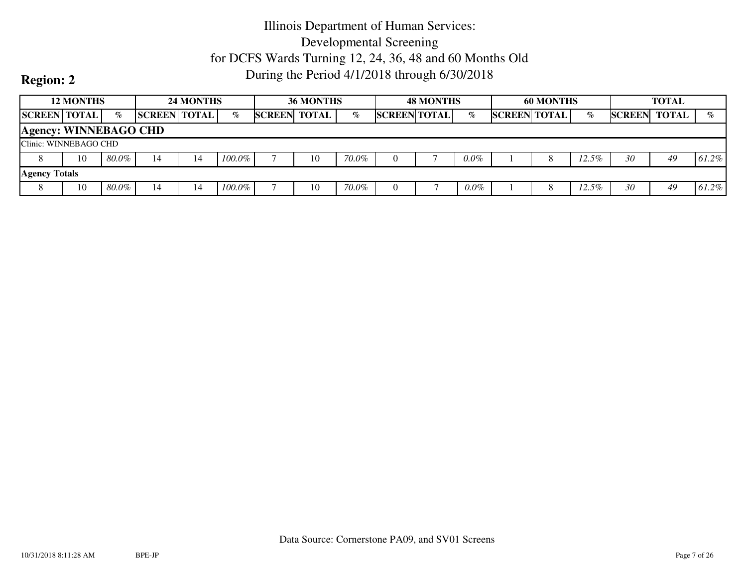|                              | <b>12 MONTHS</b>      |       |                     | 24 MONTHS |           |               | <b>36 MONTHS</b> |       |                     | <b>48 MONTHS</b> |         |                     | <b>60 MONTHS</b> |         |               | <b>TOTAL</b> |       |
|------------------------------|-----------------------|-------|---------------------|-----------|-----------|---------------|------------------|-------|---------------------|------------------|---------|---------------------|------------------|---------|---------------|--------------|-------|
| <b>SCREEN TOTAL</b>          |                       | $\%$  | <b>SCREEN TOTAL</b> |           | $\%$      | <b>SCREEN</b> | <b>TOTAL</b>     | $\%$  | <b>SCREEN TOTAL</b> |                  | $\%$    | <b>SCREEN TOTAL</b> |                  | $\%$    | <b>SCREEN</b> | <b>TOTAL</b> | $\%$  |
| <b>Agency: WINNEBAGO CHD</b> |                       |       |                     |           |           |               |                  |       |                     |                  |         |                     |                  |         |               |              |       |
|                              | Clinic: WINNEBAGO CHD |       |                     |           |           |               |                  |       |                     |                  |         |                     |                  |         |               |              |       |
|                              | 10                    | 80.0% | 14                  | 14        | $100.0\%$ |               | 10               | 70.0% |                     |                  | $0.0\%$ |                     |                  | 12.5%   | 30            | 49           | 61.2% |
| <b>Agency Totals</b>         |                       |       |                     |           |           |               |                  |       |                     |                  |         |                     |                  |         |               |              |       |
| ◠                            | 10                    | 80.0% | 14                  | 14        | $100.0\%$ |               | 10               | 70.0% |                     |                  | $0.0\%$ |                     | 8                | $2.5\%$ | 30            | 49           | 61.2% |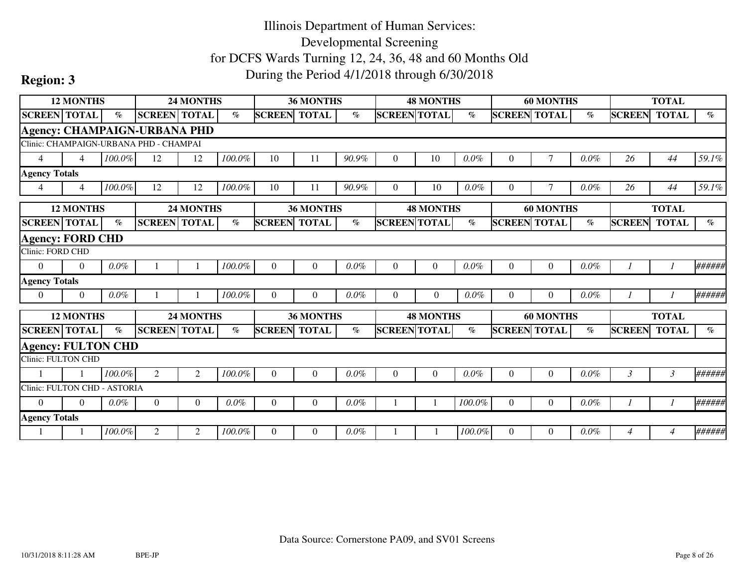|                              | <b>12 MONTHS</b> |                             |                                        | 24 MONTHS        |         |               | <b>36 MONTHS</b> |         |                     | <b>48 MONTHS</b> |         |                     | <b>60 MONTHS</b> |         |                | <b>TOTAL</b>   |                             |
|------------------------------|------------------|-----------------------------|----------------------------------------|------------------|---------|---------------|------------------|---------|---------------------|------------------|---------|---------------------|------------------|---------|----------------|----------------|-----------------------------|
| <b>SCREEN TOTAL</b>          |                  | $\%$                        | <b>SCREEN TOTAL</b>                    |                  | $\%$    | <b>SCREEN</b> | <b>TOTAL</b>     | $\%$    | <b>SCREEN TOTAL</b> |                  | $\%$    | <b>SCREEN</b>       | <b>TOTAL</b>     | $\%$    | <b>SCREEN</b>  | <b>TOTAL</b>   | $\%$                        |
|                              |                  |                             | <b>Agency: CHAMPAIGN-URBANA PHD</b>    |                  |         |               |                  |         |                     |                  |         |                     |                  |         |                |                |                             |
|                              |                  |                             | Clinic: CHAMPAIGN-URBANA PHD - CHAMPAI |                  |         |               |                  |         |                     |                  |         |                     |                  |         |                |                |                             |
| $\overline{4}$               | $\overline{4}$   | 100.0%                      | 12                                     | 12               | 100.0%  | 10            | 11               | 90.9%   | $\overline{0}$      | 10               | 0.0%    | 0                   | 7                | 0.0%    | 26             | 44             | 59.1%                       |
| <b>Agency Totals</b>         |                  |                             |                                        |                  |         |               |                  |         |                     |                  |         |                     |                  |         |                |                |                             |
| $\overline{4}$               | $\overline{4}$   | 100.0%                      | 12                                     | 12               | 100.0%  | 10            | 11               | 90.9%   | $\Omega$            | 10               | $0.0\%$ | 0                   | 7                | $0.0\%$ | 26             | 44             | 59.1%                       |
|                              | <b>12 MONTHS</b> |                             |                                        | <b>24 MONTHS</b> |         |               | <b>36 MONTHS</b> |         |                     | <b>48 MONTHS</b> |         |                     | <b>60 MONTHS</b> |         |                | <b>TOTAL</b>   |                             |
| <b>SCREEN TOTAL</b>          |                  | $\mathcal{O}_{\mathcal{O}}$ | <b>SCREEN TOTAL</b>                    |                  | $\%$    | <b>SCREEN</b> | <b>TOTAL</b>     | $\%$    | <b>SCREEN TOTAL</b> |                  | $\%$    | <b>SCREEN TOTAL</b> |                  | $\%$    | <b>SCREEN</b>  | <b>TOTAL</b>   | $\mathcal{O}_{\mathcal{O}}$ |
| <b>Agency: FORD CHD</b>      |                  |                             |                                        |                  |         |               |                  |         |                     |                  |         |                     |                  |         |                |                |                             |
| Clinic: FORD CHD             |                  |                             |                                        |                  |         |               |                  |         |                     |                  |         |                     |                  |         |                |                |                             |
| $\theta$                     | $\Omega$         | $0.0\%$                     |                                        |                  | 100.0%  | $\Omega$      | $\overline{0}$   | $0.0\%$ | $\Omega$            | $\overline{0}$   | 0.0%    | $\overline{0}$      | $\boldsymbol{0}$ | 0.0%    |                |                | ######                      |
| <b>Agency Totals</b>         |                  |                             |                                        |                  |         |               |                  |         |                     |                  |         |                     |                  |         |                |                |                             |
| $\overline{0}$               | $\theta$         | $0.0\%$                     |                                        |                  | 100.0%  | $\Omega$      | $\Omega$         | $0.0\%$ | $\Omega$            | $\overline{0}$   | $0.0\%$ | $\Omega$            | $\overline{0}$   | $0.0\%$ |                |                | ######                      |
|                              | <b>12 MONTHS</b> |                             |                                        | 24 MONTHS        |         |               | <b>36 MONTHS</b> |         |                     | <b>48 MONTHS</b> |         |                     | <b>60 MONTHS</b> |         |                | <b>TOTAL</b>   |                             |
| <b>SCREEN</b> TOTAL          |                  | $\%$                        | <b>SCREEN TOTAL</b>                    |                  | $\%$    | <b>SCREEN</b> | <b>TOTAL</b>     | $\%$    | <b>SCREEN TOTAL</b> |                  | $\%$    | <b>SCREEN TOTAL</b> |                  | $\%$    | <b>SCREEN</b>  | <b>TOTAL</b>   | $\%$                        |
| <b>Agency: FULTON CHD</b>    |                  |                             |                                        |                  |         |               |                  |         |                     |                  |         |                     |                  |         |                |                |                             |
| Clinic: FULTON CHD           |                  |                             |                                        |                  |         |               |                  |         |                     |                  |         |                     |                  |         |                |                |                             |
|                              |                  | 100.0%                      | 2                                      | 2                | 100.0%  | $\Omega$      | $\Omega$         | $0.0\%$ | $\Omega$            | $\Omega$         | 0.0%    | $\Omega$            | $\overline{0}$   | $0.0\%$ | $\mathfrak{Z}$ | $\mathfrak{Z}$ | ######                      |
| Clinic: FULTON CHD - ASTORIA |                  |                             |                                        |                  |         |               |                  |         |                     |                  |         |                     |                  |         |                |                |                             |
| $\Omega$                     | $\Omega$         | $0.0\%$                     | $\overline{0}$                         | $\Omega$         | $0.0\%$ | $\Omega$      | $\theta$         | $0.0\%$ |                     |                  | 100.0%  | $\Omega$            | $\overline{0}$   | $0.0\%$ |                |                | ######                      |
| <b>Agency Totals</b>         |                  |                             |                                        |                  |         |               |                  |         |                     |                  |         |                     |                  |         |                |                |                             |
|                              |                  | 100.0%                      | 2                                      | 2                | 100.0%  | $\Omega$      | $\Omega$         | $0.0\%$ |                     |                  | 100.0%  | 0                   | $\theta$         | $0.0\%$ | 4              | $\overline{4}$ | ######                      |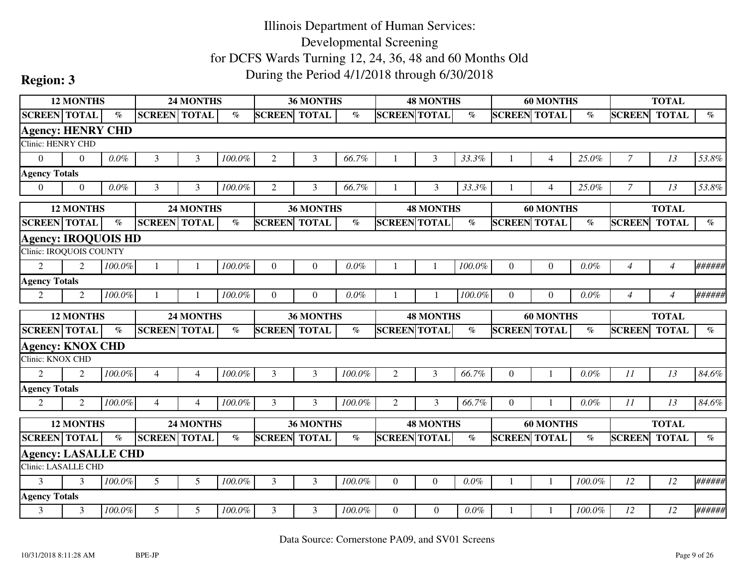|                            | <b>12 MONTHS</b>            |                             |                     | <b>24 MONTHS</b> |        |                     | 36 MONTHS    |                       |                     | <b>48 MONTHS</b> |         |                     | <b>60 MONTHS</b> |                          |                | <b>TOTAL</b>   |                                |
|----------------------------|-----------------------------|-----------------------------|---------------------|------------------|--------|---------------------|--------------|-----------------------|---------------------|------------------|---------|---------------------|------------------|--------------------------|----------------|----------------|--------------------------------|
| <b>SCREEN TOTAL</b>        |                             | $\mathcal{O}_{\mathcal{O}}$ | <b>SCREEN TOTAL</b> |                  | $\%$   | <b>SCREEN TOTAL</b> |              | $\%$                  | <b>SCREEN TOTAL</b> |                  | $\%$    | <b>SCREEN TOTAL</b> |                  | $\overline{\mathcal{C}}$ | <b>SCREEN</b>  | <b>TOTAL</b>   | $\mathcal{G}_{\mathcal{O}}$    |
| <b>Agency: HENRY CHD</b>   |                             |                             |                     |                  |        |                     |              |                       |                     |                  |         |                     |                  |                          |                |                |                                |
| <b>Clinic: HENRY CHD</b>   |                             |                             |                     |                  |        |                     |              |                       |                     |                  |         |                     |                  |                          |                |                |                                |
| $\Omega$                   | $\Omega$                    | $0.0\%$                     | 3                   | 3                | 100.0% | $\overline{2}$      | 3            | 66.7%                 |                     | 3                | 33.3%   |                     | $\overline{4}$   | 25.0%                    | $\overline{7}$ | 13             | 53.8%                          |
| <b>Agency Totals</b>       |                             |                             |                     |                  |        |                     |              |                       |                     |                  |         |                     |                  |                          |                |                |                                |
| $\overline{0}$             | $\boldsymbol{0}$            | $0.0\%$                     | 3                   | 3                | 100.0% | 2                   | 3            | 66.7%                 |                     | 3                | 33.3%   |                     | $\overline{4}$   | 25.0%                    | 7              | 13             | 53.8%                          |
|                            | <b>12 MONTHS</b>            |                             |                     | 24 MONTHS        |        |                     | 36 MONTHS    |                       |                     | <b>48 MONTHS</b> |         |                     | <b>60 MONTHS</b> |                          |                | <b>TOTAL</b>   |                                |
| <b>SCREEN</b> TOTAL        |                             | $\%$                        | <b>SCREEN TOTAL</b> |                  | $\%$   | <b>SCREEN</b>       | <b>TOTAL</b> | $\%$                  | <b>SCREEN TOTAL</b> |                  | $\%$    | <b>SCREEN</b>       | <b>TOTAL</b>     | $\%$                     | <b>SCREEN</b>  | <b>TOTAL</b>   | $\%$                           |
| <b>Agency: IROQUOIS HD</b> |                             |                             |                     |                  |        |                     |              |                       |                     |                  |         |                     |                  |                          |                |                |                                |
| Clinic: IROQUOIS COUNTY    |                             |                             |                     |                  |        |                     |              |                       |                     |                  |         |                     |                  |                          |                |                |                                |
| $\overline{2}$             | $\mathcal{D}_{\mathcal{L}}$ | 100.0%                      |                     |                  | 100.0% | $\Omega$            | $\Omega$     | $0.0\%$               |                     |                  | 100.0%  | $\theta$            | $\overline{0}$   | 0.0%                     | $\overline{4}$ | $\overline{4}$ | ######                         |
| <b>Agency Totals</b>       |                             |                             |                     |                  |        |                     |              |                       |                     |                  |         |                     |                  |                          |                |                |                                |
| 2                          | $\mathfrak{D}$              | 100.0%                      |                     |                  | 100.0% | $\Omega$            | $\Omega$     | $0.0\%$               |                     |                  | 100.0%  | $\Omega$            | $\theta$         | 0.0%                     | $\overline{4}$ | $\overline{4}$ | ######                         |
|                            |                             |                             |                     |                  |        |                     |              |                       |                     |                  |         |                     |                  |                          |                |                |                                |
|                            | <b>12 MONTHS</b>            |                             |                     | 24 MONTHS        |        |                     | 36 MONTHS    |                       |                     | <b>48 MONTHS</b> |         |                     | <b>60 MONTHS</b> |                          |                | <b>TOTAL</b>   |                                |
| <b>SCREEN TOTAL</b>        |                             | $\%$                        | <b>SCREEN TOTAL</b> |                  | $\%$   | <b>SCREEN</b>       | <b>TOTAL</b> | $\emph{v}_{\emph{0}}$ | <b>SCREEN TOTAL</b> |                  | $\%$    | <b>SCREEN TOTAL</b> |                  | $\%$                     | <b>SCREEN</b>  | <b>TOTAL</b>   | $\mathcal{O}_{\!\!\mathit{O}}$ |
| <b>Agency: KNOX CHD</b>    |                             |                             |                     |                  |        |                     |              |                       |                     |                  |         |                     |                  |                          |                |                |                                |
| Clinic: KNOX CHD           |                             |                             |                     |                  |        |                     |              |                       |                     |                  |         |                     |                  |                          |                |                |                                |
| $\overline{2}$             | $\mathfrak{D}$              | 100.0%                      | $\overline{4}$      | $\overline{4}$   | 100.0% | 3                   | 3            | 100.0%                | $\overline{2}$      | 3                | 66.7%   | $\mathbf{0}$        |                  | $0.0\%$                  | 11             | 13             | 84.6%                          |
| <b>Agency Totals</b>       |                             |                             |                     |                  |        |                     |              |                       |                     |                  |         |                     |                  |                          |                |                |                                |
| $\overline{2}$             | 2                           | 100.0%                      | $\overline{4}$      | $\overline{4}$   | 100.0% | 3                   | 3            | 100.0%                | 2                   | 3                | 66.7%   | $\overline{0}$      | 1                | 0.0%                     | 11             | 13             | 84.6%                          |
|                            | <b>12 MONTHS</b>            |                             |                     | 24 MONTHS        |        |                     | 36 MONTHS    |                       |                     | <b>48 MONTHS</b> |         |                     | <b>60 MONTHS</b> |                          |                | <b>TOTAL</b>   |                                |
| <b>SCREEN TOTAL</b>        |                             | $\%$                        | <b>SCREEN TOTAL</b> |                  | $\%$   | <b>SCREEN TOTAL</b> |              | $\%$                  | <b>SCREEN TOTAL</b> |                  | $\%$    | <b>SCREEN TOTAL</b> |                  | $\%$                     | <b>SCREEN</b>  | <b>TOTAL</b>   | $\%$                           |
| <b>Agency: LASALLE CHD</b> |                             |                             |                     |                  |        |                     |              |                       |                     |                  |         |                     |                  |                          |                |                |                                |
| <b>Clinic: LASALLE CHD</b> |                             |                             |                     |                  |        |                     |              |                       |                     |                  |         |                     |                  |                          |                |                |                                |
| $\overline{3}$             | 3                           | $100.0\%$                   | 5                   | 5                | 100.0% | 3                   | 3            | 100.0%                | $\overline{0}$      | $\boldsymbol{0}$ | $0.0\%$ |                     | $\mathbf{1}$     | 100.0%                   | 12             | 12             | ######                         |
| <b>Agency Totals</b>       |                             |                             |                     |                  |        |                     |              |                       |                     |                  |         |                     |                  |                          |                |                |                                |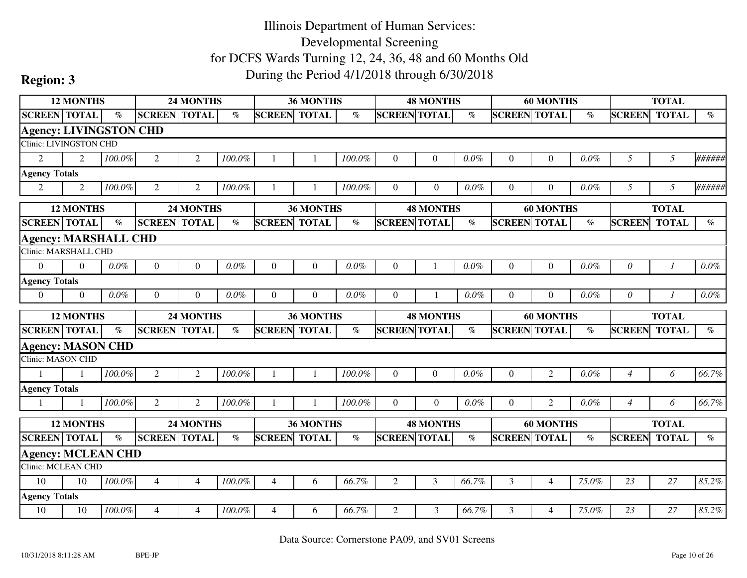|                               | <b>12 MONTHS</b> |           |                     | <b>24 MONTHS</b> |                       |                     | 36 MONTHS    |         |                     | <b>48 MONTHS</b> |                                |                     | <b>60 MONTHS</b> |         |                | <b>TOTAL</b> |         |
|-------------------------------|------------------|-----------|---------------------|------------------|-----------------------|---------------------|--------------|---------|---------------------|------------------|--------------------------------|---------------------|------------------|---------|----------------|--------------|---------|
| <b>SCREEN TOTAL</b>           |                  | $\%$      | <b>SCREEN TOTAL</b> |                  | $\%$                  | <b>SCREEN TOTAL</b> |              | $\%$    | <b>SCREEN TOTAL</b> |                  | $\%$                           | <b>SCREEN TOTAL</b> |                  | $\%$    | <b>SCREEN</b>  | <b>TOTAL</b> | $\%$    |
| <b>Agency: LIVINGSTON CHD</b> |                  |           |                     |                  |                       |                     |              |         |                     |                  |                                |                     |                  |         |                |              |         |
| Clinic: LIVINGSTON CHD        |                  |           |                     |                  |                       |                     |              |         |                     |                  |                                |                     |                  |         |                |              |         |
| $\overline{2}$                | $\mathfrak{D}$   | 100.0%    | $\overline{2}$      | $\overline{2}$   | 100.0%                |                     |              | 100.0%  | $\Omega$            | $\Omega$         | $0.0\%$                        | $\overline{0}$      | $\mathbf{0}$     | 0.0%    | 5              | 5            | ######  |
| <b>Agency Totals</b>          |                  |           |                     |                  |                       |                     |              |         |                     |                  |                                |                     |                  |         |                |              |         |
| $\overline{2}$                | 2                | 100.0%    | 2                   | 2                | 100.0%                |                     |              | 100.0%  | $\Omega$            | $\overline{0}$   | $0.0\%$                        | $\overline{0}$      | $\overline{0}$   | $0.0\%$ | 5              | 5            | ######  |
|                               | <b>12 MONTHS</b> |           |                     | 24 MONTHS        |                       |                     | 36 MONTHS    |         |                     | <b>48 MONTHS</b> |                                |                     | <b>60 MONTHS</b> |         |                | <b>TOTAL</b> |         |
| <b>SCREEN</b> TOTAL           |                  | $\%$      | <b>SCREEN TOTAL</b> |                  | $\%$                  | <b>SCREEN</b>       | <b>TOTAL</b> | $\%$    | <b>SCREEN TOTAL</b> |                  | $\emph{v}_{\emph{0}}$          | <b>SCREEN</b>       | <b>TOTAL</b>     | $\%$    | <b>SCREEN</b>  | <b>TOTAL</b> | $\%$    |
| <b>Agency: MARSHALL CHD</b>   |                  |           |                     |                  |                       |                     |              |         |                     |                  |                                |                     |                  |         |                |              |         |
| Clinic: MARSHALL CHD          |                  |           |                     |                  |                       |                     |              |         |                     |                  |                                |                     |                  |         |                |              |         |
| $\Omega$                      | $\Omega$         | $0.0\%$   | $\theta$            | $\Omega$         | $0.0\%$               | $\theta$            | $\theta$     | 0.0%    | $\Omega$            |                  | $0.0\%$                        | $\theta$            | $\overline{0}$   | $0.0\%$ | $\theta$       |              | $0.0\%$ |
| <b>Agency Totals</b>          |                  |           |                     |                  |                       |                     |              |         |                     |                  |                                |                     |                  |         |                |              |         |
| $\overline{0}$                | $\Omega$         | $0.0\%$   | $\overline{0}$      | $\Omega$         | $0.0\%$               | $\theta$            | $\theta$     | $0.0\%$ | $\Omega$            |                  | $0.0\%$                        | $\Omega$            | $\Omega$         | $0.0\%$ | $\theta$       |              | $0.0\%$ |
|                               |                  |           |                     |                  |                       |                     |              |         |                     |                  |                                |                     |                  |         |                |              |         |
|                               | <b>12 MONTHS</b> |           |                     | 24 MONTHS        |                       |                     | 36 MONTHS    |         |                     | <b>48 MONTHS</b> |                                |                     | <b>60 MONTHS</b> |         |                | <b>TOTAL</b> |         |
| <b>SCREEN TOTAL</b>           |                  | $\%$      | <b>SCREEN TOTAL</b> |                  | $\emph{v}_{\emph{0}}$ | <b>SCREEN</b>       | <b>TOTAL</b> | $\%$    | <b>SCREEN TOTAL</b> |                  | $\mathcal{O}_{\!\!\mathit{O}}$ | <b>SCREEN TOTAL</b> |                  | $\%$    | <b>SCREEN</b>  | <b>TOTAL</b> | $\%$    |
| <b>Agency: MASON CHD</b>      |                  |           |                     |                  |                       |                     |              |         |                     |                  |                                |                     |                  |         |                |              |         |
| <b>Clinic: MASON CHD</b>      |                  |           |                     |                  |                       |                     |              |         |                     |                  |                                |                     |                  |         |                |              |         |
|                               |                  | 100.0%    | $\mathfrak{2}$      | $\overline{2}$   | 100.0%                |                     | $\mathbf{1}$ | 100.0%  | $\Omega$            | $\overline{0}$   | $0.0\%$                        | $\theta$            | $\overline{2}$   | 0.0%    | $\overline{4}$ | 6            | 66.7%   |
| <b>Agency Totals</b>          |                  |           |                     |                  |                       |                     |              |         |                     |                  |                                |                     |                  |         |                |              |         |
| -1                            |                  | 100.0%    | $\mathfrak{2}$      | $\overline{2}$   | 100.0%                |                     |              | 100.0%  | $\Omega$            | $\overline{0}$   | 0.0%                           | $\overline{0}$      | $\overline{2}$   | $0.0\%$ | $\overline{4}$ | 6            | 66.7%   |
|                               | <b>12 MONTHS</b> |           |                     | 24 MONTHS        |                       |                     | 36 MONTHS    |         |                     | <b>48 MONTHS</b> |                                |                     | <b>60 MONTHS</b> |         |                | <b>TOTAL</b> |         |
| <b>SCREEN</b> TOTAL           |                  | $\%$      | <b>SCREEN</b> TOTAL |                  | $\%$                  | <b>SCREEN TOTAL</b> |              | $\%$    | <b>SCREEN TOTAL</b> |                  | $\%$                           | <b>SCREEN TOTAL</b> |                  | $\%$    | <b>SCREEN</b>  | <b>TOTAL</b> | $\%$    |
| <b>Agency: MCLEAN CHD</b>     |                  |           |                     |                  |                       |                     |              |         |                     |                  |                                |                     |                  |         |                |              |         |
| <b>Clinic: MCLEAN CHD</b>     |                  |           |                     |                  |                       |                     |              |         |                     |                  |                                |                     |                  |         |                |              |         |
| 10                            | 10               | $100.0\%$ | $\overline{4}$      | $\overline{4}$   | 100.0%                | $\overline{4}$      | 6            | 66.7%   | $\overline{2}$      | $\overline{3}$   | 66.7%                          | 3                   | $\overline{4}$   | 75.0%   | 23             | 27           | 85.2%   |
| <b>Agency Totals</b>          |                  |           |                     |                  |                       |                     |              |         |                     |                  |                                |                     |                  |         |                |              |         |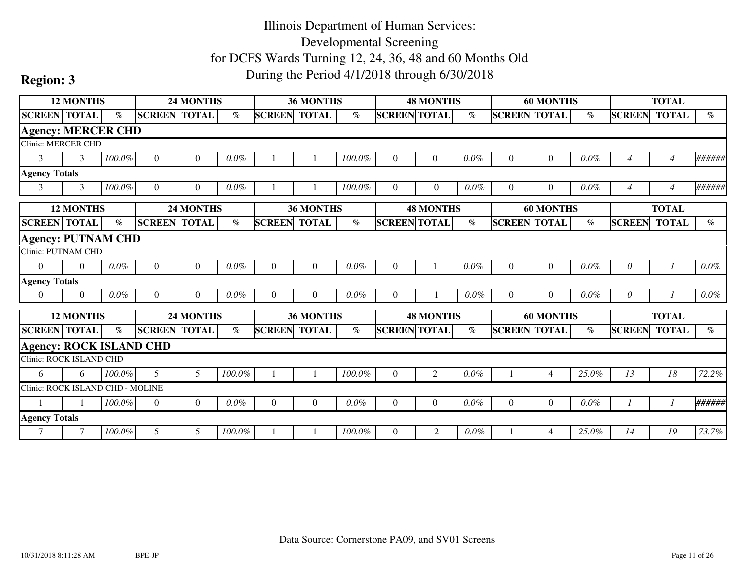|                                  | <b>12 MONTHS</b> |         |                     | <b>24 MONTHS</b> |           |               | 36 MONTHS        |           |                     | <b>48 MONTHS</b> |         |                     | <b>60 MONTHS</b> |         |                | <b>TOTAL</b>   |                             |
|----------------------------------|------------------|---------|---------------------|------------------|-----------|---------------|------------------|-----------|---------------------|------------------|---------|---------------------|------------------|---------|----------------|----------------|-----------------------------|
| <b>SCREEN TOTAL</b>              |                  | $\%$    | <b>SCREEN TOTAL</b> |                  | $\%$      | <b>SCREEN</b> | <b>TOTAL</b>     | $\%$      | <b>SCREEN TOTAL</b> |                  | $\%$    | <b>SCREEN TOTAL</b> |                  | $\%$    | <b>SCREEN</b>  | <b>TOTAL</b>   | $\%$                        |
| <b>Agency: MERCER CHD</b>        |                  |         |                     |                  |           |               |                  |           |                     |                  |         |                     |                  |         |                |                |                             |
| <b>Clinic: MERCER CHD</b>        |                  |         |                     |                  |           |               |                  |           |                     |                  |         |                     |                  |         |                |                |                             |
| 3                                | 3                | 100.0%  | $\overline{0}$      | $\Omega$         | $0.0\%$   |               |                  | 100.0%    | $\Omega$            | $\theta$         | $0.0\%$ | $\overline{0}$      | $\boldsymbol{0}$ | 0.0%    | $\overline{4}$ | 4              | ######                      |
| <b>Agency Totals</b>             |                  |         |                     |                  |           |               |                  |           |                     |                  |         |                     |                  |         |                |                |                             |
| 3                                | 3                | 100.0%  | $\Omega$            | $\Omega$         | $0.0\%$   |               |                  | 100.0%    | $\theta$            | $\overline{0}$   | $0.0\%$ | $\Omega$            | $\overline{0}$   | $0.0\%$ | 4              | $\overline{4}$ | ######                      |
|                                  | <b>12 MONTHS</b> |         |                     | <b>24 MONTHS</b> |           |               | <b>36 MONTHS</b> |           |                     | <b>48 MONTHS</b> |         |                     | <b>60 MONTHS</b> |         |                | <b>TOTAL</b>   |                             |
| <b>SCREEN TOTAL</b>              |                  | $\%$    | <b>SCREEN TOTAL</b> |                  | $\%$      | <b>SCREEN</b> | <b>TOTAL</b>     | $\%$      | <b>SCREEN TOTAL</b> |                  | $\%$    | <b>SCREEN TOTAL</b> |                  | $\%$    | <b>SCREEN</b>  | <b>TOTAL</b>   | $\%$                        |
| <b>Agency: PUTNAM CHD</b>        |                  |         |                     |                  |           |               |                  |           |                     |                  |         |                     |                  |         |                |                |                             |
| Clinic: PUTNAM CHD               |                  |         |                     |                  |           |               |                  |           |                     |                  |         |                     |                  |         |                |                |                             |
| $\overline{0}$                   | $\Omega$         | $0.0\%$ | $\overline{0}$      | $\theta$         | 0.0%      | $\Omega$      | $\overline{0}$   | $0.0\%$   | $\theta$            |                  | $0.0\%$ | $\overline{0}$      | $\overline{0}$   | 0.0%    | $\theta$       |                | $0.0\%$                     |
| <b>Agency Totals</b>             |                  |         |                     |                  |           |               |                  |           |                     |                  |         |                     |                  |         |                |                |                             |
| $\overline{0}$                   | $\theta$         | $0.0\%$ | $\Omega$            | $\Omega$         | $0.0\%$   | $\Omega$      | $\Omega$         | $0.0\%$   | $\Omega$            |                  | 0.0%    | $\Omega$            | $\Omega$         | $0.0\%$ | $\theta$       |                | $0.0\%$                     |
|                                  | <b>12 MONTHS</b> |         |                     | <b>24 MONTHS</b> |           |               | 36 MONTHS        |           |                     | <b>48 MONTHS</b> |         |                     | <b>60 MONTHS</b> |         |                | <b>TOTAL</b>   |                             |
| <b>SCREEN</b> TOTAL              |                  | $\%$    | <b>SCREEN TOTAL</b> |                  | $\%$      | <b>SCREEN</b> | <b>TOTAL</b>     | $\%$      | <b>SCREEN TOTAL</b> |                  | $\%$    | <b>SCREEN TOTAL</b> |                  | $\%$    | <b>SCREEN</b>  | <b>TOTAL</b>   | $\mathcal{O}_{\mathcal{O}}$ |
| <b>Agency: ROCK ISLAND CHD</b>   |                  |         |                     |                  |           |               |                  |           |                     |                  |         |                     |                  |         |                |                |                             |
| Clinic: ROCK ISLAND CHD          |                  |         |                     |                  |           |               |                  |           |                     |                  |         |                     |                  |         |                |                |                             |
| 6                                | 6                | 100.0%  | 5                   | 5                | $100.0\%$ |               |                  | 100.0%    | $\Omega$            | 2                | $0.0\%$ |                     | $\overline{4}$   | 25.0%   | 13             | 18             | 72.2%                       |
| Clinic: ROCK ISLAND CHD - MOLINE |                  |         |                     |                  |           |               |                  |           |                     |                  |         |                     |                  |         |                |                |                             |
|                                  |                  | 100.0%  | $\overline{0}$      | $\Omega$         | $0.0\%$   | $\Omega$      | $\Omega$         | $0.0\%$   | $\Omega$            | $\theta$         | $0.0\%$ | $\Omega$            | $\overline{0}$   | $0.0\%$ |                |                | ######                      |
| <b>Agency Totals</b>             |                  |         |                     |                  |           |               |                  |           |                     |                  |         |                     |                  |         |                |                |                             |
| 7                                | 7                | 100.0%  | 5                   | 5                | 100.0%    |               |                  | $100.0\%$ | $\Omega$            | 2                | $0.0\%$ |                     | $\overline{4}$   | 25.0%   | 14             | 19             | 73.7%                       |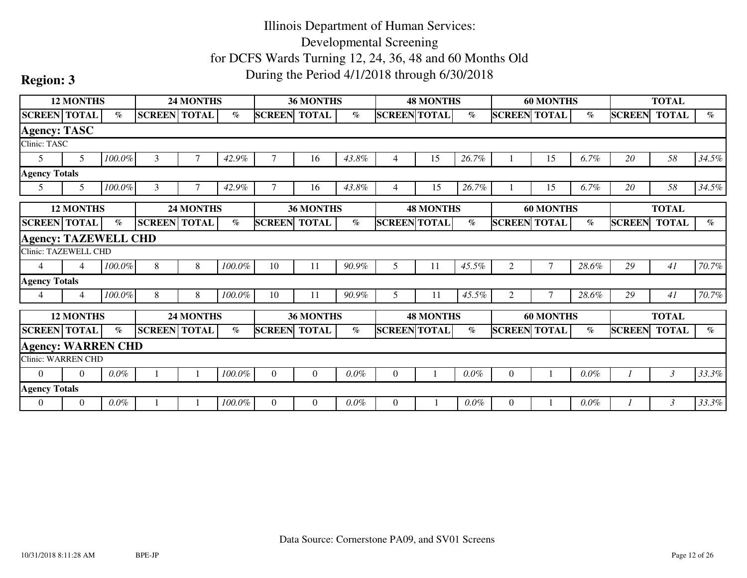|                             | <b>12 MONTHS</b> |         |                     | <b>24 MONTHS</b> |           |               | <b>36 MONTHS</b> |         |                     | <b>48 MONTHS</b> |         |                     | <b>60 MONTHS</b> |         |               | <b>TOTAL</b> |       |
|-----------------------------|------------------|---------|---------------------|------------------|-----------|---------------|------------------|---------|---------------------|------------------|---------|---------------------|------------------|---------|---------------|--------------|-------|
| <b>SCREEN TOTAL</b>         |                  | $\%$    | <b>SCREEN TOTAL</b> |                  | $\%$      | <b>SCREEN</b> | <b>TOTAL</b>     | $\%$    | <b>SCREEN TOTAL</b> |                  | $\%$    | <b>SCREEN TOTAL</b> |                  | $\%$    | <b>SCREEN</b> | <b>TOTAL</b> | $\%$  |
| <b>Agency: TASC</b>         |                  |         |                     |                  |           |               |                  |         |                     |                  |         |                     |                  |         |               |              |       |
| Clinic: TASC                |                  |         |                     |                  |           |               |                  |         |                     |                  |         |                     |                  |         |               |              |       |
| 5                           | 5 <sup>5</sup>   | 100.0%  | 3                   |                  | 42.9%     |               | 16               | 43.8%   | 4                   | 15               | 26.7%   |                     | 15               | 6.7%    | 20            | 58           | 34.5% |
| <b>Agency Totals</b>        |                  |         |                     |                  |           |               |                  |         |                     |                  |         |                     |                  |         |               |              |       |
| 5                           | 5                | 100.0%  | 3                   |                  | 42.9%     |               | 16               | 43.8%   | 4                   | 15               | 26.7%   |                     | 15               | 6.7%    | 20            | 58           | 34.5% |
|                             | <b>12 MONTHS</b> |         |                     | <b>24 MONTHS</b> |           |               | <b>36 MONTHS</b> |         |                     | <b>48 MONTHS</b> |         |                     | <b>60 MONTHS</b> |         |               | <b>TOTAL</b> |       |
| <b>SCREEN</b> TOTAL         |                  | $\%$    | <b>SCREEN TOTAL</b> |                  | $\%$      | <b>SCREEN</b> | <b>TOTAL</b>     | $\%$    | <b>SCREEN TOTAL</b> |                  | $\%$    | <b>SCREEN TOTAL</b> |                  | $\%$    | <b>SCREEN</b> | <b>TOTAL</b> | $\%$  |
| <b>Agency: TAZEWELL CHD</b> |                  |         |                     |                  |           |               |                  |         |                     |                  |         |                     |                  |         |               |              |       |
| <b>Clinic: TAZEWELL CHD</b> |                  |         |                     |                  |           |               |                  |         |                     |                  |         |                     |                  |         |               |              |       |
| $\overline{4}$              | $\overline{4}$   | 100.0%  | 8                   | 8                | 100.0%    | 10            | 11               | 90.9%   | 5                   | 11               | 45.5%   | $\mathbf{2}$        | 7                | 28.6%   | 29            | 41           | 70.7% |
| <b>Agency Totals</b>        |                  |         |                     |                  |           |               |                  |         |                     |                  |         |                     |                  |         |               |              |       |
| 4                           | $\overline{4}$   | 100.0%  | 8                   | 8                | $100.0\%$ | 10            | 11               | 90.9%   | 5.                  | 11               | 45.5%   | $\overline{2}$      | $\overline{7}$   | 28.6%   | 29            | 41           | 70.7% |
|                             | <b>12 MONTHS</b> |         |                     | <b>24 MONTHS</b> |           |               | <b>36 MONTHS</b> |         |                     | <b>48 MONTHS</b> |         |                     | <b>60 MONTHS</b> |         |               | <b>TOTAL</b> |       |
| <b>SCREEN TOTAL</b>         |                  | $\%$    | <b>SCREEN</b> TOTAL |                  | $\%$      | <b>SCREEN</b> | <b>TOTAL</b>     | $\%$    | <b>SCREEN TOTAL</b> |                  | $\%$    | <b>SCREEN TOTAL</b> |                  | $\%$    | <b>SCREEN</b> | <b>TOTAL</b> | $\%$  |
| <b>Agency: WARREN CHD</b>   |                  |         |                     |                  |           |               |                  |         |                     |                  |         |                     |                  |         |               |              |       |
| <b>Clinic: WARREN CHD</b>   |                  |         |                     |                  |           |               |                  |         |                     |                  |         |                     |                  |         |               |              |       |
| $\overline{0}$              | $\Omega$         | $0.0\%$ |                     |                  | 100.0%    | $\Omega$      | $\overline{0}$   | $0.0\%$ | $\Omega$            |                  | $0.0\%$ | $\theta$            |                  | $0.0\%$ |               | 3            | 33.3% |
| <b>Agency Totals</b>        |                  |         |                     |                  |           |               |                  |         |                     |                  |         |                     |                  |         |               |              |       |
| $\theta$                    | $\overline{0}$   | $0.0\%$ |                     |                  | 100.0%    | $\theta$      | $\Omega$         | $0.0\%$ | $\Omega$            |                  | $0.0\%$ | $\Omega$            |                  | $0.0\%$ |               | 3            | 33.3% |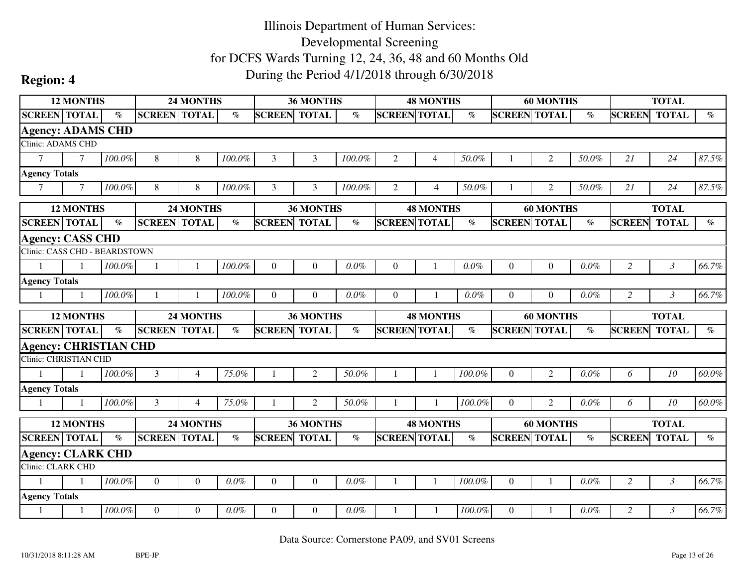|                                                      | <b>12 MONTHS</b> |                             |                     | 24 MONTHS      |                                |                     | 36 MONTHS        |         |                     | <b>48 MONTHS</b> |         |                     | <b>60 MONTHS</b> |       |                | <b>TOTAL</b>   |                             |
|------------------------------------------------------|------------------|-----------------------------|---------------------|----------------|--------------------------------|---------------------|------------------|---------|---------------------|------------------|---------|---------------------|------------------|-------|----------------|----------------|-----------------------------|
| <b>SCREEN TOTAL</b>                                  |                  | $\mathcal{O}_{\mathcal{O}}$ | <b>SCREEN TOTAL</b> |                | $\%$                           | <b>SCREEN TOTAL</b> |                  | $\%$    | <b>SCREEN TOTAL</b> |                  | $\%$    | <b>SCREEN TOTAL</b> |                  | $\%$  | <b>SCREEN</b>  | <b>TOTAL</b>   | $\mathcal{O}_{\mathcal{O}}$ |
| <b>Agency: ADAMS CHD</b>                             |                  |                             |                     |                |                                |                     |                  |         |                     |                  |         |                     |                  |       |                |                |                             |
| <b>Clinic: ADAMS CHD</b>                             |                  |                             |                     |                |                                |                     |                  |         |                     |                  |         |                     |                  |       |                |                |                             |
| $\tau$                                               | $\overline{7}$   | $100.0\%$                   | 8                   | 8              | 100.0%                         | 3                   | 3                | 100.0%  | $\overline{2}$      | 4                | 50.0%   |                     | $\overline{2}$   | 50.0% | 21             | 24             | 87.5%                       |
| <b>Agency Totals</b>                                 |                  |                             |                     |                |                                |                     |                  |         |                     |                  |         |                     |                  |       |                |                |                             |
| $\tau$                                               | $\tau$           | 100.0%                      | 8                   | 8              | 100.0%                         | 3                   | 3                | 100.0%  | 2                   | $\overline{4}$   | 50.0%   |                     | 2                | 50.0% | 21             | 24             | 87.5%                       |
|                                                      | <b>12 MONTHS</b> |                             |                     | 24 MONTHS      |                                |                     | 36 MONTHS        |         |                     | <b>48 MONTHS</b> |         |                     | <b>60 MONTHS</b> |       |                | <b>TOTAL</b>   |                             |
| <b>SCREEN TOTAL</b>                                  |                  | $\%$                        | <b>SCREEN TOTAL</b> |                | $\mathcal{O}_{\!\!\mathit{O}}$ | <b>SCREEN</b>       | <b>TOTAL</b>     | $\%$    | <b>SCREEN TOTAL</b> |                  | $\%$    | <b>SCREEN TOTAL</b> |                  | $\%$  | <b>SCREEN</b>  | <b>TOTAL</b>   | $\%$                        |
| <b>Agency: CASS CHD</b>                              |                  |                             |                     |                |                                |                     |                  |         |                     |                  |         |                     |                  |       |                |                |                             |
| Clinic: CASS CHD - BEARDSTOWN                        |                  |                             |                     |                |                                |                     |                  |         |                     |                  |         |                     |                  |       |                |                |                             |
| $\mathbf{1}$                                         | $\mathbf{1}$     | 100.0%                      | $\mathbf{1}$        |                | 100.0%                         | $\Omega$            | $\theta$         | 0.0%    | $\Omega$            |                  | $0.0\%$ | $\overline{0}$      | $\boldsymbol{0}$ | 0.0%  | $\overline{2}$ | $\mathfrak{Z}$ | 66.7%                       |
| <b>Agency Totals</b>                                 |                  |                             |                     |                |                                |                     |                  |         |                     |                  |         |                     |                  |       |                |                |                             |
|                                                      |                  | 100.0%                      |                     |                | 100.0%                         | $\theta$            | $\Omega$         | $0.0\%$ | $\Omega$            |                  | $0.0\%$ | $\Omega$            | $\Omega$         | 0.0%  | $\overline{2}$ | $\mathfrak{Z}$ | 66.7%                       |
|                                                      |                  |                             |                     |                |                                |                     |                  |         |                     |                  |         |                     |                  |       |                |                |                             |
|                                                      | <b>12 MONTHS</b> |                             |                     | 24 MONTHS      |                                |                     | <b>36 MONTHS</b> |         |                     | <b>48 MONTHS</b> |         |                     | <b>60 MONTHS</b> |       |                | <b>TOTAL</b>   |                             |
| <b>SCREEN TOTAL</b>                                  |                  | $\%$                        | <b>SCREEN TOTAL</b> |                | $\mathcal{O}_{\!\!\mathbb{O}}$ | <b>SCREEN TOTAL</b> |                  | $\%$    | <b>SCREEN TOTAL</b> |                  | $\%$    | <b>SCREEN TOTAL</b> |                  | $\%$  | <b>SCREEN</b>  | <b>TOTAL</b>   | $\emph{v}_{\emph{0}}$       |
| <b>Agency: CHRISTIAN CHD</b>                         |                  |                             |                     |                |                                |                     |                  |         |                     |                  |         |                     |                  |       |                |                |                             |
| <b>Clinic: CHRISTIAN CHD</b>                         |                  |                             |                     |                |                                |                     |                  |         |                     |                  |         |                     |                  |       |                |                |                             |
|                                                      |                  | 100.0%                      | 3                   | $\overline{4}$ | 75.0%                          |                     | $\overline{2}$   | 50.0%   |                     |                  | 100.0%  | $\overline{0}$      | $\overline{2}$   | 0.0%  | 6              | 10             | 60.0%                       |
| <b>Agency Totals</b>                                 |                  |                             |                     |                |                                |                     |                  |         |                     |                  |         |                     |                  |       |                |                |                             |
| -1                                                   |                  | 100.0%                      | 3                   | $\overline{4}$ | 75.0%                          |                     | 2                | 50.0%   |                     |                  | 100.0%  | $\overline{0}$      | $\overline{2}$   | 0.0%  | 6              | 10             | $60.0\%$                    |
|                                                      | <b>12 MONTHS</b> |                             |                     | 24 MONTHS      |                                |                     | 36 MONTHS        |         |                     | <b>48 MONTHS</b> |         |                     | <b>60 MONTHS</b> |       |                | <b>TOTAL</b>   |                             |
| <b>SCREEN TOTAL</b>                                  |                  | $\%$                        | <b>SCREEN TOTAL</b> |                | $\%$                           | <b>SCREEN TOTAL</b> |                  | $\%$    | <b>SCREEN TOTAL</b> |                  | $\%$    | <b>SCREEN TOTAL</b> |                  | $\%$  | <b>SCREEN</b>  | <b>TOTAL</b>   | $\%$                        |
|                                                      |                  |                             |                     |                |                                |                     |                  |         |                     |                  |         |                     |                  |       |                |                |                             |
| <b>Agency: CLARK CHD</b><br><b>Clinic: CLARK CHD</b> |                  |                             |                     |                |                                |                     |                  |         |                     |                  |         |                     |                  |       |                |                |                             |
| 1                                                    | $\mathbf{1}$     | 100.0%                      | $\boldsymbol{0}$    | $\overline{0}$ | $0.0\%$                        | $\overline{0}$      | $\boldsymbol{0}$ | 0.0%    |                     |                  | 100.0%  | $\mathbf{0}$        | $\mathbf{1}$     | 0.0%  | $\overline{2}$ | $\mathfrak{Z}$ | 66.7%                       |
| <b>Agency Totals</b>                                 |                  |                             |                     |                |                                |                     |                  |         |                     |                  |         |                     |                  |       |                |                |                             |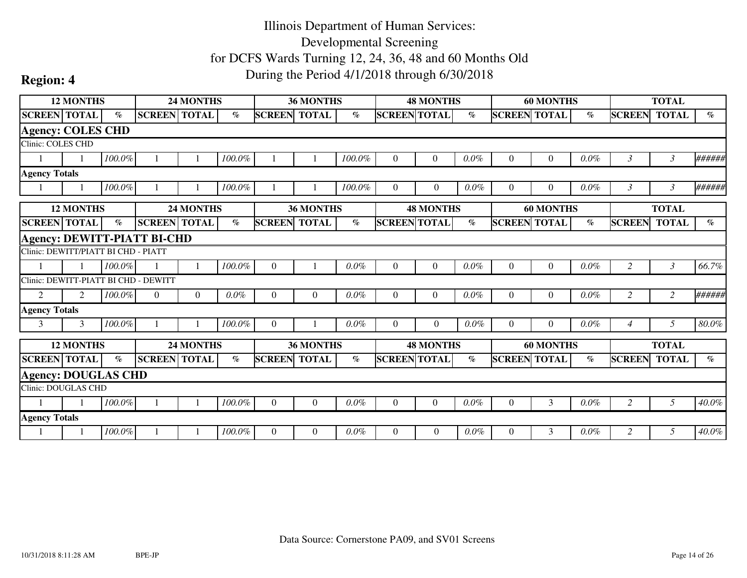|                                      | <b>12 MONTHS</b> |        |                                    | 24 MONTHS        |         |                     | <b>36 MONTHS</b> |         |                     | <b>48 MONTHS</b> |         |                     | <b>60 MONTHS</b> |         |                | <b>TOTAL</b>   |                             |
|--------------------------------------|------------------|--------|------------------------------------|------------------|---------|---------------------|------------------|---------|---------------------|------------------|---------|---------------------|------------------|---------|----------------|----------------|-----------------------------|
| <b>SCREEN TOTAL</b>                  |                  | $\%$   | <b>SCREEN TOTAL</b>                |                  | $\%$    | <b>SCREEN</b>       | <b>TOTAL</b>     | $\%$    | <b>SCREEN TOTAL</b> |                  | $\%$    | <b>SCREEN TOTAL</b> |                  | $\%$    | <b>SCREEN</b>  | <b>TOTAL</b>   | $\%$                        |
| <b>Agency: COLES CHD</b>             |                  |        |                                    |                  |         |                     |                  |         |                     |                  |         |                     |                  |         |                |                |                             |
| Clinic: COLES CHD                    |                  |        |                                    |                  |         |                     |                  |         |                     |                  |         |                     |                  |         |                |                |                             |
|                                      |                  | 100.0% |                                    |                  | 100.0%  |                     |                  | 100.0%  | $\Omega$            | $\theta$         | 0.0%    | $\boldsymbol{0}$    | $\boldsymbol{0}$ | 0.0%    | $\mathfrak{Z}$ | 3              | ######                      |
| <b>Agency Totals</b>                 |                  |        |                                    |                  |         |                     |                  |         |                     |                  |         |                     |                  |         |                |                |                             |
|                                      |                  | 100.0% |                                    |                  | 100.0%  |                     |                  | 100.0%  | $\Omega$            | $\overline{0}$   | $0.0\%$ | $\overline{0}$      | $\overline{0}$   | $0.0\%$ | $\mathfrak{Z}$ | $\mathfrak{Z}$ | ######                      |
|                                      | <b>12 MONTHS</b> |        |                                    | <b>24 MONTHS</b> |         |                     | <b>36 MONTHS</b> |         |                     | <b>48 MONTHS</b> |         |                     | <b>60 MONTHS</b> |         |                | <b>TOTAL</b>   |                             |
| <b>SCREEN TOTAL</b>                  |                  | $\%$   | <b>SCREEN TOTAL</b>                |                  | $\%$    | <b>SCREEN TOTAL</b> |                  | $\%$    | <b>SCREEN TOTAL</b> |                  | $\%$    | <b>SCREEN TOTAL</b> |                  | $\%$    | <b>SCREEN</b>  | <b>TOTAL</b>   | $\mathcal{O}_{\mathcal{O}}$ |
|                                      |                  |        | <b>Agency: DEWITT-PIATT BI-CHD</b> |                  |         |                     |                  |         |                     |                  |         |                     |                  |         |                |                |                             |
| Clinic: DEWITT/PIATT BI CHD - PIATT  |                  |        |                                    |                  |         |                     |                  |         |                     |                  |         |                     |                  |         |                |                |                             |
|                                      |                  | 100.0% |                                    |                  | 100.0%  | $\Omega$            |                  | 0.0%    | $\Omega$            | $\overline{0}$   | 0.0%    | $\overline{0}$      | $\boldsymbol{0}$ | 0.0%    | $\overline{c}$ | 3              | 66.7%                       |
| Clinic: DEWITT-PIATT BI CHD - DEWITT |                  |        |                                    |                  |         |                     |                  |         |                     |                  |         |                     |                  |         |                |                |                             |
| 2                                    | $\mathfrak{D}$   | 100.0% | $\theta$                           | $\Omega$         | $0.0\%$ | $\Omega$            | $\theta$         | $0.0\%$ | $\Omega$            | $\Omega$         | $0.0\%$ | $\Omega$            | $\overline{0}$   | 0.0%    | 2              | $\overline{2}$ | ######                      |
| <b>Agency Totals</b>                 |                  |        |                                    |                  |         |                     |                  |         |                     |                  |         |                     |                  |         |                |                |                             |
| 3                                    | 3                | 100.0% |                                    |                  | 100.0%  | $\Omega$            |                  | $0.0\%$ | $\Omega$            | $\Omega$         | $0.0\%$ | $\Omega$            | $\Omega$         | $0.0\%$ | $\overline{4}$ | 5              | $80.0\%$                    |
|                                      | <b>12 MONTHS</b> |        |                                    | 24 MONTHS        |         |                     | 36 MONTHS        |         |                     | <b>48 MONTHS</b> |         |                     | <b>60 MONTHS</b> |         |                | <b>TOTAL</b>   |                             |
| <b>SCREEN TOTAL</b>                  |                  | $\%$   | <b>SCREEN TOTAL</b>                |                  | $\%$    | <b>SCREEN TOTAL</b> |                  | $\%$    | <b>SCREEN TOTAL</b> |                  | $\%$    | <b>SCREEN TOTAL</b> |                  | $\%$    | <b>SCREEN</b>  | <b>TOTAL</b>   | $\%$                        |
| <b>Agency: DOUGLAS CHD</b>           |                  |        |                                    |                  |         |                     |                  |         |                     |                  |         |                     |                  |         |                |                |                             |
| <b>Clinic: DOUGLAS CHD</b>           |                  |        |                                    |                  |         |                     |                  |         |                     |                  |         |                     |                  |         |                |                |                             |
|                                      |                  | 100.0% |                                    |                  | 100.0%  | $\Omega$            | $\theta$         | 0.0%    | $\Omega$            | $\Omega$         | $0.0\%$ | $\Omega$            | 3                | $0.0\%$ | 2              | 5              | 40.0%                       |
| <b>Agency Totals</b>                 |                  |        |                                    |                  |         |                     |                  |         |                     |                  |         |                     |                  |         |                |                |                             |
|                                      |                  | 100.0% |                                    |                  | 100.0%  | $\Omega$            | $\theta$         | $0.0\%$ | $\Omega$            | $\Omega$         | $0.0\%$ | $\Omega$            | 3                | $0.0\%$ | $\overline{c}$ | 5              | $40.0\%$                    |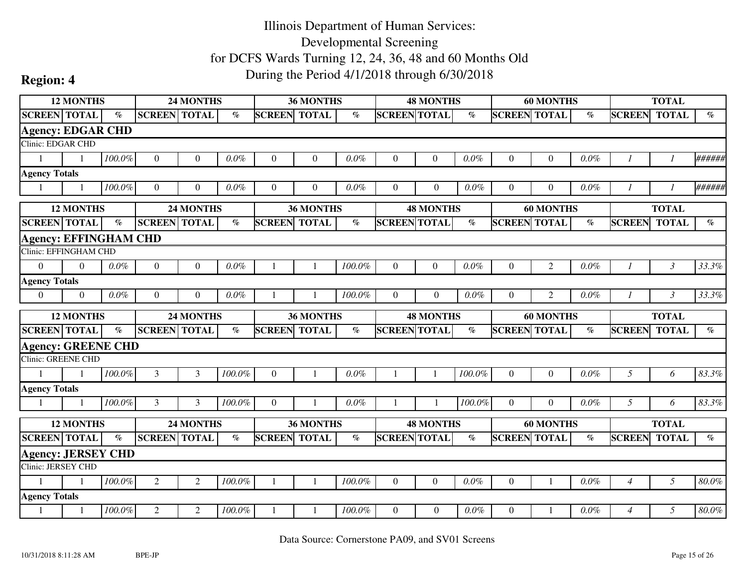|                                                        | <b>12 MONTHS</b> |                 |                     | <b>24 MONTHS</b> |           |                     | <b>36 MONTHS</b> |         |                     | <b>48 MONTHS</b> |         |                     | <b>60 MONTHS</b> |                          |                | <b>TOTAL</b>   |                                |
|--------------------------------------------------------|------------------|-----------------|---------------------|------------------|-----------|---------------------|------------------|---------|---------------------|------------------|---------|---------------------|------------------|--------------------------|----------------|----------------|--------------------------------|
| <b>SCREEN TOTAL</b>                                    |                  | $\mathcal{O}_0$ | <b>SCREEN TOTAL</b> |                  | $\%$      | <b>SCREEN TOTAL</b> |                  | $\%$    | <b>SCREEN TOTAL</b> |                  | $\%$    | <b>SCREEN TOTAL</b> |                  | $\overline{\mathcal{C}}$ | <b>SCREEN</b>  | <b>TOTAL</b>   | $\mathcal{G}_{\mathcal{O}}$    |
| <b>Agency: EDGAR CHD</b>                               |                  |                 |                     |                  |           |                     |                  |         |                     |                  |         |                     |                  |                          |                |                |                                |
| Clinic: EDGAR CHD                                      |                  |                 |                     |                  |           |                     |                  |         |                     |                  |         |                     |                  |                          |                |                |                                |
| $\mathbf{1}$                                           | $\mathbf{1}$     | 100.0%          | $\overline{0}$      | $\theta$         | $0.0\%$   | $\theta$            | $\theta$         | 0.0%    | $\theta$            | $\Omega$         | $0.0\%$ | $\overline{0}$      | $\overline{0}$   | 0.0%                     |                |                | ######                         |
| <b>Agency Totals</b>                                   |                  |                 |                     |                  |           |                     |                  |         |                     |                  |         |                     |                  |                          |                |                |                                |
| $\overline{1}$                                         | $\mathbf{1}$     | 100.0%          | $\theta$            | $\Omega$         | $0.0\%$   | $\Omega$            | $\overline{0}$   | $0.0\%$ | $\Omega$            | $\overline{0}$   | $0.0\%$ | $\overline{0}$      | $\overline{0}$   | $0.0\%$                  | $\overline{I}$ | $\mathcal{I}$  | ######                         |
|                                                        | <b>12 MONTHS</b> |                 |                     | 24 MONTHS        |           |                     | 36 MONTHS        |         |                     | <b>48 MONTHS</b> |         |                     | <b>60 MONTHS</b> |                          |                | <b>TOTAL</b>   |                                |
| <b>SCREEN TOTAL</b>                                    |                  | $\%$            | <b>SCREEN TOTAL</b> |                  | $\%$      | <b>SCREEN</b>       | <b>TOTAL</b>     | $\%$    | <b>SCREEN TOTAL</b> |                  | $\%$    | <b>SCREEN</b>       | <b>TOTAL</b>     | $\%$                     | <b>SCREEN</b>  | <b>TOTAL</b>   | $\%$                           |
| <b>Agency: EFFINGHAM CHD</b>                           |                  |                 |                     |                  |           |                     |                  |         |                     |                  |         |                     |                  |                          |                |                |                                |
| Clinic: EFFINGHAM CHD                                  |                  |                 |                     |                  |           |                     |                  |         |                     |                  |         |                     |                  |                          |                |                |                                |
| $\Omega$                                               | $\Omega$         | $0.0\%$         | $\overline{0}$      | $\theta$         | 0.0%      | -1                  | -1               | 100.0%  | $\theta$            | $\theta$         | $0.0\%$ | $\theta$            | $\overline{2}$   | $0.0\%$                  | $\overline{I}$ | $\mathfrak{Z}$ | 33.3%                          |
| <b>Agency Totals</b>                                   |                  |                 |                     |                  |           |                     |                  |         |                     |                  |         |                     |                  |                          |                |                |                                |
| $\overline{0}$                                         | $\Omega$         | 0.0%            | $\overline{0}$      | $\theta$         | 0.0%      |                     |                  | 100.0%  | $\theta$            | $\Omega$         | $0.0\%$ | $\theta$            | $\overline{2}$   | 0.0%                     |                | $\mathfrak{Z}$ | 33.3%                          |
|                                                        |                  |                 |                     |                  |           |                     |                  |         |                     |                  |         |                     |                  |                          |                |                |                                |
|                                                        | <b>12 MONTHS</b> |                 |                     | 24 MONTHS        |           |                     | <b>36 MONTHS</b> |         |                     | <b>48 MONTHS</b> |         |                     | <b>60 MONTHS</b> |                          |                | <b>TOTAL</b>   |                                |
| <b>SCREEN TOTAL</b>                                    |                  | $\%$            | <b>SCREEN TOTAL</b> |                  | $\%$      | <b>SCREEN TOTAL</b> |                  | $\%$    | <b>SCREEN TOTAL</b> |                  | $\%$    | <b>SCREEN TOTAL</b> |                  | $\%$                     | <b>SCREEN</b>  | <b>TOTAL</b>   | $\mathcal{O}_{\!\!\mathit{O}}$ |
|                                                        |                  |                 |                     |                  |           |                     |                  |         |                     |                  |         |                     |                  |                          |                |                |                                |
| <b>Agency: GREENE CHD</b><br>Clinic: GREENE CHD        |                  |                 |                     |                  |           |                     |                  |         |                     |                  |         |                     |                  |                          |                |                |                                |
| $\mathbf{1}$                                           |                  | 100.0%          | 3                   | 3                | $100.0\%$ | $\theta$            |                  | 0.0%    |                     |                  | 100.0%  | $\overline{0}$      | $\overline{0}$   | 0.0%                     | 5              | 6              | 83.3%                          |
|                                                        |                  |                 |                     |                  |           |                     |                  |         |                     |                  |         |                     |                  |                          |                |                |                                |
| $\mathbf{1}$                                           |                  | 100.0%          | 3                   | 3                | 100.0%    | $\overline{0}$      |                  | $0.0\%$ |                     |                  | 100.0%  | $\overline{0}$      | $\overline{0}$   | $0.0\%$                  | 5              | 6              | 83.3%                          |
| <b>Agency Totals</b>                                   | <b>12 MONTHS</b> |                 |                     | 24 MONTHS        |           |                     | 36 MONTHS        |         |                     | <b>48 MONTHS</b> |         |                     | <b>60 MONTHS</b> |                          |                | <b>TOTAL</b>   |                                |
| <b>SCREEN TOTAL</b>                                    |                  | $\%$            | <b>SCREEN TOTAL</b> |                  | $\%$      | <b>SCREEN TOTAL</b> |                  | $\%$    | <b>SCREEN TOTAL</b> |                  | $\%$    | <b>SCREEN TOTAL</b> |                  | $\%$                     | <b>SCREEN</b>  | <b>TOTAL</b>   | $\%$                           |
|                                                        |                  |                 |                     |                  |           |                     |                  |         |                     |                  |         |                     |                  |                          |                |                |                                |
| <b>Agency: JERSEY CHD</b><br><b>Clinic: JERSEY CHD</b> |                  |                 |                     |                  |           |                     |                  |         |                     |                  |         |                     |                  |                          |                |                |                                |
| $\mathbf{1}$                                           | $\overline{1}$   | 100.0%          | $\overline{2}$      | $\overline{2}$   | $100.0\%$ |                     | $\mathbf{1}$     | 100.0%  | $\boldsymbol{0}$    | $\overline{0}$   | $0.0\%$ | $\boldsymbol{0}$    |                  | 0.0%                     | $\overline{4}$ | 5              | $80.0\%$                       |
| <b>Agency Totals</b>                                   |                  |                 |                     |                  |           |                     |                  |         |                     |                  |         |                     |                  |                          |                |                |                                |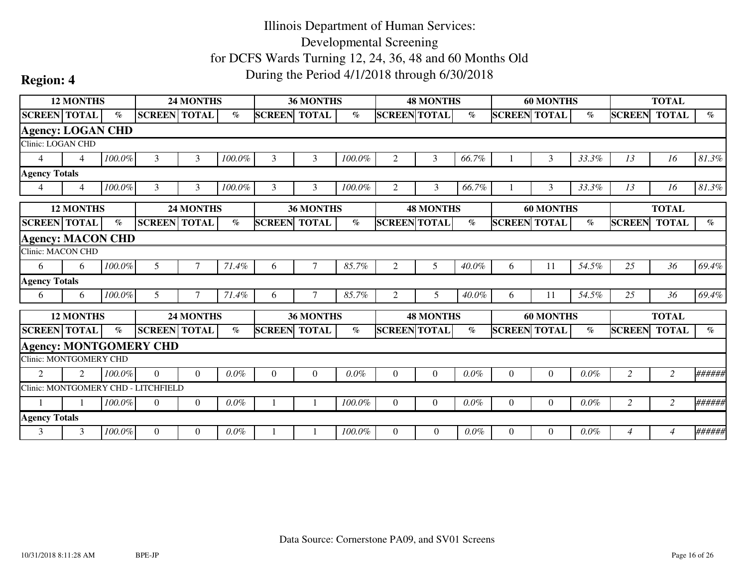|                          | <b>12 MONTHS</b> |                             |                                     | 24 MONTHS |         |                     | <b>36 MONTHS</b> |           |                     | <b>48 MONTHS</b> |                       |                     | <b>60 MONTHS</b> |         |                | <b>TOTAL</b> |                             |
|--------------------------|------------------|-----------------------------|-------------------------------------|-----------|---------|---------------------|------------------|-----------|---------------------|------------------|-----------------------|---------------------|------------------|---------|----------------|--------------|-----------------------------|
| <b>SCREEN TOTAL</b>      |                  | $\%$                        | <b>SCREEN TOTAL</b>                 |           | $\%$    | <b>SCREEN</b>       | <b>TOTAL</b>     | $\%$      | <b>SCREEN TOTAL</b> |                  | $\%$                  | <b>SCREEN TOTAL</b> |                  | $\%$    | <b>SCREEN</b>  | <b>TOTAL</b> | $\%$                        |
| <b>Agency: LOGAN CHD</b> |                  |                             |                                     |           |         |                     |                  |           |                     |                  |                       |                     |                  |         |                |              |                             |
| <b>Clinic: LOGAN CHD</b> |                  |                             |                                     |           |         |                     |                  |           |                     |                  |                       |                     |                  |         |                |              |                             |
| $\overline{4}$           | $\overline{4}$   | 100.0%                      | 3                                   | 3         | 100.0%  | 3                   | 3                | 100.0%    | $\mathfrak{2}$      | 3                | 66.7%                 |                     | 3                | 33.3%   | 13             | 16           | 81.3%                       |
| <b>Agency Totals</b>     |                  |                             |                                     |           |         |                     |                  |           |                     |                  |                       |                     |                  |         |                |              |                             |
| $\overline{4}$           | $\overline{4}$   | 100.0%                      | 3                                   | 3         | 100.0%  | 3                   | 3                | 100.0%    | 2                   | 3                | 66.7%                 |                     | 3                | 33.3%   | 13             | 16           | 81.3%                       |
|                          | <b>12 MONTHS</b> |                             |                                     | 24 MONTHS |         |                     | <b>36 MONTHS</b> |           |                     | <b>48 MONTHS</b> |                       |                     | <b>60 MONTHS</b> |         |                | <b>TOTAL</b> |                             |
| <b>SCREEN TOTAL</b>      |                  | $\mathcal{O}_{\mathcal{O}}$ | <b>SCREEN TOTAL</b>                 |           | $\%$    | <b>SCREEN TOTAL</b> |                  | $\%$      | <b>SCREEN TOTAL</b> |                  | $\%$                  | <b>SCREEN TOTAL</b> |                  | $\%$    | <b>SCREEN</b>  | <b>TOTAL</b> | $\mathcal{O}_{\mathcal{O}}$ |
| <b>Agency: MACON CHD</b> |                  |                             |                                     |           |         |                     |                  |           |                     |                  |                       |                     |                  |         |                |              |                             |
| Clinic: MACON CHD        |                  |                             |                                     |           |         |                     |                  |           |                     |                  |                       |                     |                  |         |                |              |                             |
| 6                        | 6                | 100.0%                      | 5                                   |           | 71.4%   | 6                   | $\tau$           | 85.7%     | $\mathfrak{2}$      | 5                | 40.0%                 | 6                   | 11               | 54.5%   | 25             | 36           | 69.4%                       |
| <b>Agency Totals</b>     |                  |                             |                                     |           |         |                     |                  |           |                     |                  |                       |                     |                  |         |                |              |                             |
| 6                        | 6                | 100.0%                      | 5                                   |           | 71.4%   | 6                   | 7                | 85.7%     | 2                   | 5                | 40.0%                 | 6                   | 11               | 54.5%   | 25             | 36           | 69.4%                       |
|                          | <b>12 MONTHS</b> |                             |                                     | 24 MONTHS |         |                     | <b>36 MONTHS</b> |           |                     | <b>48 MONTHS</b> |                       |                     | <b>60 MONTHS</b> |         |                | <b>TOTAL</b> |                             |
| <b>SCREEN TOTAL</b>      |                  | $\%$                        | <b>SCREEN TOTAL</b>                 |           | $\%$    | <b>SCREEN TOTAL</b> |                  | $\%$      | <b>SCREEN TOTAL</b> |                  | $\emph{v}_{\emph{0}}$ | <b>SCREEN TOTAL</b> |                  | $\%$    | <b>SCREEN</b>  | <b>TOTAL</b> | $\%$                        |
|                          |                  |                             | <b>Agency: MONTGOMERY CHD</b>       |           |         |                     |                  |           |                     |                  |                       |                     |                  |         |                |              |                             |
| Clinic: MONTGOMERY CHD   |                  |                             |                                     |           |         |                     |                  |           |                     |                  |                       |                     |                  |         |                |              |                             |
| $\mathfrak{D}$           | $\mathfrak{D}$   | 100.0%                      | $\Omega$                            | $\Omega$  | $0.0\%$ | $\Omega$            | $\Omega$         | 0.0%      | $\Omega$            | $\Omega$         | $0.0\%$               | $\Omega$            | $\boldsymbol{0}$ | 0.0%    | $\overline{2}$ | 2            | ######                      |
|                          |                  |                             | Clinic: MONTGOMERY CHD - LITCHFIELD |           |         |                     |                  |           |                     |                  |                       |                     |                  |         |                |              |                             |
|                          |                  | 100.0%                      | $\theta$                            | $\Omega$  | $0.0\%$ |                     |                  | 100.0%    | $\Omega$            | $\Omega$         | $0.0\%$               | $\Omega$            | $\overline{0}$   | 0.0%    | $\overline{2}$ | 2            | ######                      |
| <b>Agency Totals</b>     |                  |                             |                                     |           |         |                     |                  |           |                     |                  |                       |                     |                  |         |                |              |                             |
| 3                        | 3                | 100.0%                      | $\Omega$                            | $\Omega$  | $0.0\%$ |                     |                  | $100.0\%$ | $\Omega$            | $\Omega$         | $0.0\%$               | $\Omega$            | $\Omega$         | $0.0\%$ | $\overline{4}$ | 4            | ######                      |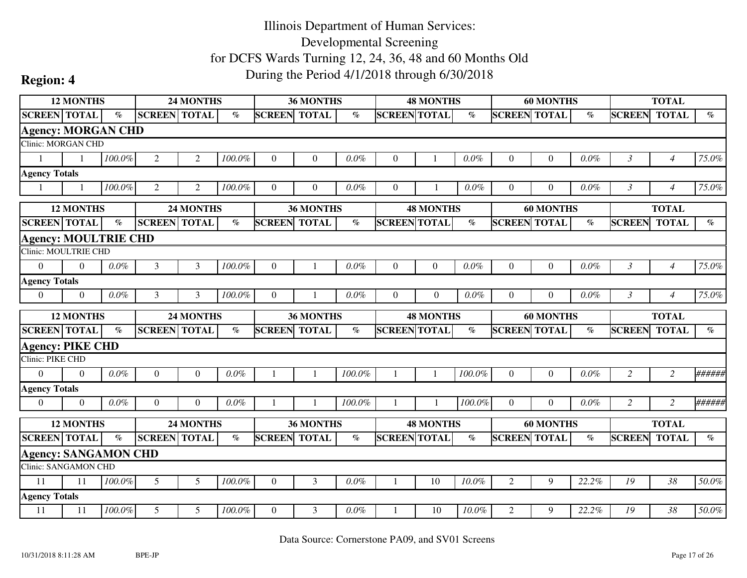|                                                     | <b>12 MONTHS</b> |           |                     | 24 MONTHS      |                                |                     | 36 MONTHS        |         |                     | <b>48 MONTHS</b> |         |                     | <b>60 MONTHS</b> |         |                | <b>TOTAL</b>   |                       |
|-----------------------------------------------------|------------------|-----------|---------------------|----------------|--------------------------------|---------------------|------------------|---------|---------------------|------------------|---------|---------------------|------------------|---------|----------------|----------------|-----------------------|
| <b>SCREEN TOTAL</b>                                 |                  | $\%$      | <b>SCREEN TOTAL</b> |                | $\%$                           | <b>SCREEN TOTAL</b> |                  | $\%$    | <b>SCREEN TOTAL</b> |                  | $\%$    | <b>SCREEN TOTAL</b> |                  | $\%$    | <b>SCREEN</b>  | <b>TOTAL</b>   | $\%$                  |
| <b>Agency: MORGAN CHD</b>                           |                  |           |                     |                |                                |                     |                  |         |                     |                  |         |                     |                  |         |                |                |                       |
| Clinic: MORGAN CHD                                  |                  |           |                     |                |                                |                     |                  |         |                     |                  |         |                     |                  |         |                |                |                       |
| $\mathbf{1}$                                        |                  | $100.0\%$ | $\overline{c}$      | $\overline{2}$ | 100.0%                         | $\theta$            | $\theta$         | 0.0%    | $\Omega$            |                  | 0.0%    | $\overline{0}$      | $\mathbf{0}$     | 0.0%    | $\mathfrak{Z}$ | $\overline{4}$ | 75.0%                 |
| <b>Agency Totals</b>                                |                  |           |                     |                |                                |                     |                  |         |                     |                  |         |                     |                  |         |                |                |                       |
| $\mathbf{1}$                                        | $\mathbf{1}$     | 100.0%    | 2                   | $\overline{2}$ | 100.0%                         | $\theta$            | $\theta$         | $0.0\%$ | $\Omega$            |                  | $0.0\%$ | $\Omega$            | $\overline{0}$   | $0.0\%$ | $\mathfrak{Z}$ | $\overline{4}$ | 75.0%                 |
|                                                     | <b>12 MONTHS</b> |           |                     | 24 MONTHS      |                                |                     | 36 MONTHS        |         |                     | <b>48 MONTHS</b> |         |                     | <b>60 MONTHS</b> |         |                | <b>TOTAL</b>   |                       |
| <b>SCREEN TOTAL</b>                                 |                  | $\%$      | <b>SCREEN</b>       | <b>TOTAL</b>   | $\%$                           | <b>SCREEN</b>       | <b>TOTAL</b>     | $\%$    | <b>SCREEN TOTAL</b> |                  | $\%$    | <b>SCREEN TOTAL</b> |                  | $\%$    | <b>SCREEN</b>  | <b>TOTAL</b>   | $\%$                  |
| <b>Agency: MOULTRIE CHD</b>                         |                  |           |                     |                |                                |                     |                  |         |                     |                  |         |                     |                  |         |                |                |                       |
| Clinic: MOULTRIE CHD                                |                  |           |                     |                |                                |                     |                  |         |                     |                  |         |                     |                  |         |                |                |                       |
| $\overline{0}$                                      | $\Omega$         | $0.0\%$   | 3                   | 3              | 100.0%                         | $\theta$            |                  | 0.0%    | $\Omega$            | $\Omega$         | $0.0\%$ | $\overline{0}$      | $\boldsymbol{0}$ | 0.0%    | $\mathfrak{Z}$ | $\overline{4}$ | 75.0%                 |
| <b>Agency Totals</b>                                |                  |           |                     |                |                                |                     |                  |         |                     |                  |         |                     |                  |         |                |                |                       |
| $\theta$                                            | $\Omega$         | $0.0\%$   | 3                   | 3              | 100.0%                         | $\theta$            |                  | $0.0\%$ | $\Omega$            | $\Omega$         | $0.0\%$ | $\Omega$            | $\Omega$         | 0.0%    | $\mathfrak{Z}$ | $\overline{4}$ | 75.0%                 |
|                                                     |                  |           |                     |                |                                |                     |                  |         |                     |                  |         |                     |                  |         |                |                |                       |
|                                                     | <b>12 MONTHS</b> |           |                     | 24 MONTHS      |                                |                     | <b>36 MONTHS</b> |         |                     | <b>48 MONTHS</b> |         |                     | <b>60 MONTHS</b> |         |                | <b>TOTAL</b>   |                       |
| <b>SCREEN TOTAL</b>                                 |                  | $\%$      | <b>SCREEN TOTAL</b> |                | $\mathcal{O}_{\!\!\mathit{O}}$ | <b>SCREEN TOTAL</b> |                  | $\%$    | <b>SCREEN TOTAL</b> |                  | $\%$    | <b>SCREEN TOTAL</b> |                  | $\%$    | <b>SCREEN</b>  | <b>TOTAL</b>   | $\emph{v}_{\emph{0}}$ |
| <b>Agency: PIKE CHD</b>                             |                  |           |                     |                |                                |                     |                  |         |                     |                  |         |                     |                  |         |                |                |                       |
| Clinic: PIKE CHD                                    |                  |           |                     |                |                                |                     |                  |         |                     |                  |         |                     |                  |         |                |                |                       |
| $\Omega$                                            | $\Omega$         | $0.0\%$   | $\boldsymbol{0}$    | $\Omega$       | $0.0\%$                        |                     |                  | 100.0%  |                     |                  | 100.0%  | $\overline{0}$      | $\boldsymbol{0}$ | 0.0%    | $\overline{2}$ | $\overline{2}$ | ######                |
| <b>Agency Totals</b>                                |                  |           |                     |                |                                |                     |                  |         |                     |                  |         |                     |                  |         |                |                |                       |
| $\boldsymbol{0}$                                    | $\Omega$         | $0.0\%$   | $\theta$            | $\Omega$       | $0.0\%$                        |                     |                  | 100.0%  |                     |                  | 100.0%  | $\overline{0}$      | $\overline{0}$   | 0.0%    | $\overline{2}$ | $\overline{c}$ | ######                |
|                                                     | <b>12 MONTHS</b> |           |                     | 24 MONTHS      |                                |                     | 36 MONTHS        |         |                     | <b>48 MONTHS</b> |         |                     | <b>60 MONTHS</b> |         |                | <b>TOTAL</b>   |                       |
| <b>SCREEN TOTAL</b>                                 |                  | $\%$      | <b>SCREEN TOTAL</b> |                | $\%$                           | <b>SCREEN TOTAL</b> |                  | $\%$    | <b>SCREEN TOTAL</b> |                  | $\%$    | <b>SCREEN TOTAL</b> |                  | $\%$    | <b>SCREEN</b>  | <b>TOTAL</b>   | $\%$                  |
|                                                     |                  |           |                     |                |                                |                     |                  |         |                     |                  |         |                     |                  |         |                |                |                       |
| <b>Agency: SANGAMON CHD</b><br>Clinic: SANGAMON CHD |                  |           |                     |                |                                |                     |                  |         |                     |                  |         |                     |                  |         |                |                |                       |
| 11                                                  | 11               | $100.0\%$ | 5                   | 5              | 100.0%                         | $\overline{0}$      | $\mathfrak{Z}$   | 0.0%    |                     | 10               | 10.0%   | $\sqrt{2}$          | 9                | 22.2%   | 19             | 38             | 50.0%                 |
| <b>Agency Totals</b>                                |                  |           |                     |                |                                |                     |                  |         |                     |                  |         |                     |                  |         |                |                |                       |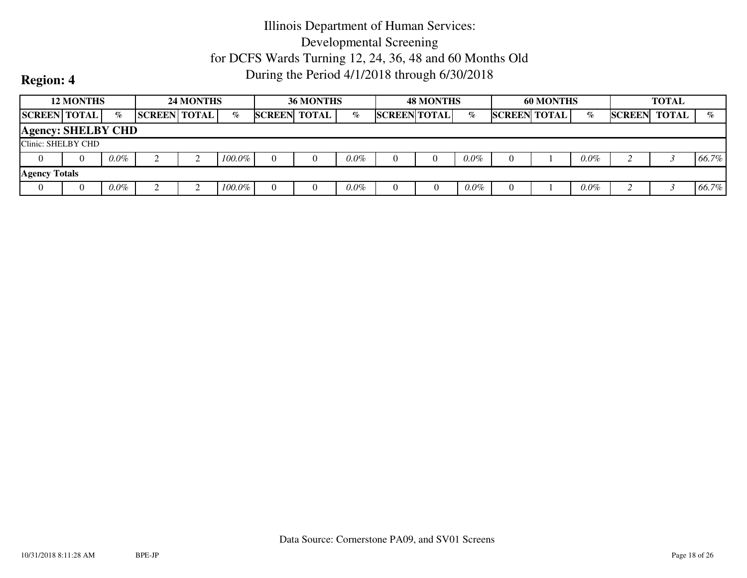|                           | <b>12 MONTHS</b> |         |                     | <b>24 MONTHS</b> |           |               | <b>36 MONTHS</b> |         |                     | <b>48 MONTHS</b> |         |                     | <b>60 MONTHS</b> |         |               | <b>TOTAL</b> |       |
|---------------------------|------------------|---------|---------------------|------------------|-----------|---------------|------------------|---------|---------------------|------------------|---------|---------------------|------------------|---------|---------------|--------------|-------|
| <b>SCREEN TOTAL</b>       |                  | $\%$    | <b>SCREEN TOTAL</b> |                  | $\%$      | <b>SCREEN</b> | <b>TOTAL</b>     | $\%$    | <b>SCREEN TOTAL</b> |                  | $\%$    | <b>SCREEN TOTAL</b> |                  | $\%$    | <b>SCREEN</b> | <b>TOTAL</b> | $\%$  |
| <b>Agency: SHELBY CHD</b> |                  |         |                     |                  |           |               |                  |         |                     |                  |         |                     |                  |         |               |              |       |
| Clinic: SHELBY CHD        |                  |         |                     |                  |           |               |                  |         |                     |                  |         |                     |                  |         |               |              |       |
|                           | $\theta$         | $0.0\%$ |                     |                  | $100.0\%$ |               |                  | $0.0\%$ |                     |                  | $0.0\%$ |                     |                  | $0.0\%$ |               |              | 66.7% |
| <b>Agency Totals</b>      |                  |         |                     |                  |           |               |                  |         |                     |                  |         |                     |                  |         |               |              |       |
|                           | $\theta$         | $0.0\%$ |                     |                  | $100.0\%$ |               |                  | $0.0\%$ |                     |                  | $0.0\%$ |                     |                  | $0.0\%$ |               |              | 66.7% |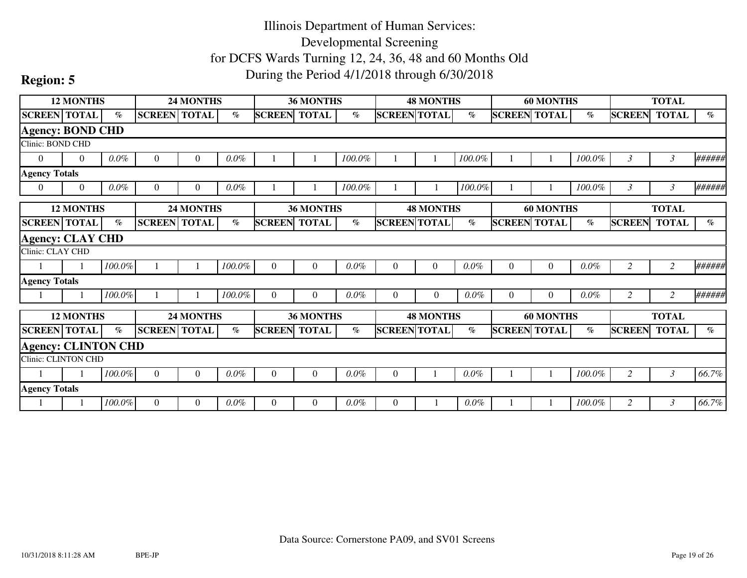|                            | <b>12 MONTHS</b> |           |                     | <b>24 MONTHS</b> |         |                     | <b>36 MONTHS</b> |         |                     | <b>48 MONTHS</b> |                       |                     | <b>60 MONTHS</b> |         |                     | <b>TOTAL</b>   |        |
|----------------------------|------------------|-----------|---------------------|------------------|---------|---------------------|------------------|---------|---------------------|------------------|-----------------------|---------------------|------------------|---------|---------------------|----------------|--------|
| <b>SCREEN TOTAL</b>        |                  | $\%$      | <b>SCREEN</b> TOTAL |                  | $\%$    | <b>SCREEN TOTAL</b> |                  | $\%$    | <b>SCREEN TOTAL</b> |                  | $\emph{v}_{\emph{0}}$ | <b>SCREEN TOTAL</b> |                  | $\%$    | <b>SCREEN</b>       | <b>TOTAL</b>   | $\%$   |
| <b>Agency: BOND CHD</b>    |                  |           |                     |                  |         |                     |                  |         |                     |                  |                       |                     |                  |         |                     |                |        |
| Clinic: BOND CHD           |                  |           |                     |                  |         |                     |                  |         |                     |                  |                       |                     |                  |         |                     |                |        |
| $\overline{0}$             | $\overline{0}$   | $0.0\%$   | $\theta$            | $\overline{0}$   | $0.0\%$ |                     |                  | 100.0%  |                     |                  | $100.0\%$             |                     |                  | 100.0%  | 3                   | 3              | ###### |
| <b>Agency Totals</b>       |                  |           |                     |                  |         |                     |                  |         |                     |                  |                       |                     |                  |         |                     |                |        |
| $\boldsymbol{0}$           | $\theta$         | $0.0\%$   | $\Omega$            | $\mathbf{0}$     | $0.0\%$ |                     |                  | 100.0%  |                     |                  | 100.0%                |                     |                  | 100.0%  | 3                   | $\mathfrak{Z}$ | ###### |
|                            | <b>12 MONTHS</b> |           |                     | <b>24 MONTHS</b> |         |                     | <b>36 MONTHS</b> |         |                     | <b>48 MONTHS</b> |                       |                     | <b>60 MONTHS</b> |         |                     | <b>TOTAL</b>   |        |
| <b>SCREEN</b> TOTAL        |                  | $\%$      | <b>SCREEN TOTAL</b> |                  | $\%$    | <b>SCREEN TOTAL</b> |                  | $\%$    | <b>SCREEN TOTAL</b> |                  | $\%$                  | <b>SCREEN TOTAL</b> |                  | $\%$    | <b>SCREEN</b>       | <b>TOTAL</b>   | $\%$   |
| <b>Agency: CLAY CHD</b>    |                  |           |                     |                  |         |                     |                  |         |                     |                  |                       |                     |                  |         |                     |                |        |
| Clinic: CLAY CHD           |                  |           |                     |                  |         |                     |                  |         |                     |                  |                       |                     |                  |         |                     |                |        |
|                            |                  | $100.0\%$ |                     |                  | 100.0%  | $\Omega$            | $\overline{0}$   | $0.0\%$ | $\overline{0}$      | $\overline{0}$   | $0.0\%$               | $\overline{0}$      | $\boldsymbol{0}$ | $0.0\%$ | 2                   | $\overline{c}$ | ###### |
| <b>Agency Totals</b>       |                  |           |                     |                  |         |                     |                  |         |                     |                  |                       |                     |                  |         |                     |                |        |
|                            |                  | $100.0\%$ |                     |                  | 100.0%  | $\Omega$            | $\Omega$         | $0.0\%$ | $\Omega$            | $\Omega$         | $0.0\%$               | $\Omega$            | $\Omega$         | $0.0\%$ | $\overline{2}$      | $\overline{2}$ | ###### |
|                            | <b>12 MONTHS</b> |           |                     | <b>24 MONTHS</b> |         |                     | <b>36 MONTHS</b> |         |                     | <b>48 MONTHS</b> |                       |                     | <b>60 MONTHS</b> |         |                     | <b>TOTAL</b>   |        |
| <b>SCREEN TOTAL</b>        |                  | $\%$      | <b>SCREEN TOTAL</b> |                  | $\%$    | <b>SCREEN TOTAL</b> |                  | $\%$    | <b>SCREEN TOTAL</b> |                  | $\%$                  | <b>SCREEN TOTAL</b> |                  | $\%$    | <b>SCREEN TOTAL</b> |                | $\%$   |
| <b>Agency: CLINTON CHD</b> |                  |           |                     |                  |         |                     |                  |         |                     |                  |                       |                     |                  |         |                     |                |        |
| <b>Clinic: CLINTON CHD</b> |                  |           |                     |                  |         |                     |                  |         |                     |                  |                       |                     |                  |         |                     |                |        |
|                            |                  | 100.0%    | $\overline{0}$      | $\Omega$         | $0.0\%$ | $\Omega$            | $\Omega$         | $0.0\%$ | $\theta$            |                  | $0.0\%$               |                     |                  | 100.0%  | 2                   | $\mathfrak{Z}$ | 66.7%  |
| <b>Agency Totals</b>       |                  |           |                     |                  |         |                     |                  |         |                     |                  |                       |                     |                  |         |                     |                |        |
|                            |                  | 100.0%    | $\overline{0}$      | $\Omega$         | $0.0\%$ | $\Omega$            | $\Omega$         | $0.0\%$ | $\Omega$            |                  | $0.0\%$               |                     |                  | 100.0%  | 2                   | 3              | 66.7%  |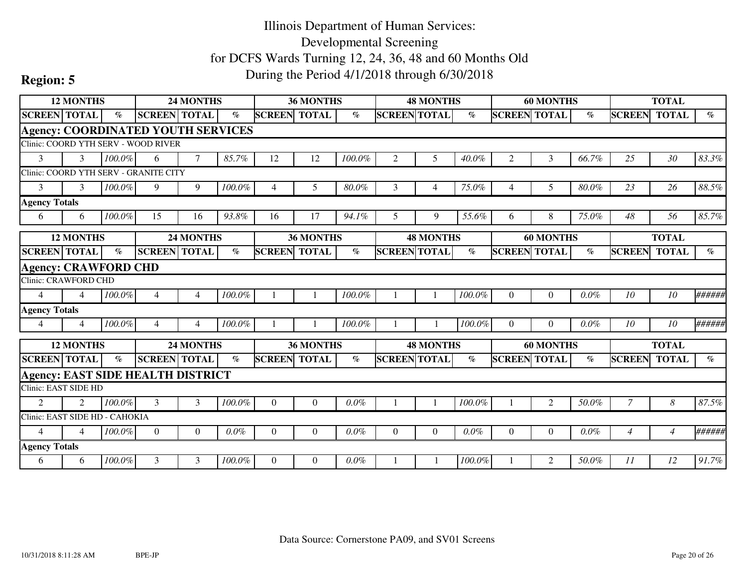| <b>12 MONTHS</b><br><b>SCREEN TOTAL</b><br><b>Agency: COORDINATED YOUTH SERVICES</b><br>Clinic: COORD YTH SERV - WOOD RIVER<br>3<br>3<br>Clinic: COORD YTH SERV - GRANITE CITY<br>3<br>3<br><b>Agency Totals</b><br>6<br>6<br><b>12 MONTHS</b><br><b>SCREEN TOTAL</b><br><b>Agency: CRAWFORD CHD</b><br><b>Clinic: CRAWFORD CHD</b><br>$\Delta$<br>$\overline{4}$<br><b>Agency Totals</b><br>4<br>$\overline{4}$<br><b>12 MONTHS</b><br><b>SCREEN TOTAL</b> |                             |        | 24 MONTHS                                |                |        |                     |                                                                                                     |         | <b>48 MONTHS</b>    |                  |         | <b>60 MONTHS</b>    |                  |          | <b>TOTAL</b>   |                 |        |
|-------------------------------------------------------------------------------------------------------------------------------------------------------------------------------------------------------------------------------------------------------------------------------------------------------------------------------------------------------------------------------------------------------------------------------------------------------------|-----------------------------|--------|------------------------------------------|----------------|--------|---------------------|-----------------------------------------------------------------------------------------------------|---------|---------------------|------------------|---------|---------------------|------------------|----------|----------------|-----------------|--------|
|                                                                                                                                                                                                                                                                                                                                                                                                                                                             |                             | $\%$   | <b>SCREEN TOTAL</b>                      |                | $\%$   |                     | <b>36 MONTHS</b><br><b>SCREEN TOTAL</b><br>12<br>12<br>5<br>$\overline{4}$<br>17<br>16<br>36 MONTHS | $\%$    | <b>SCREEN TOTAL</b> |                  | $\%$    | <b>SCREEN TOTAL</b> |                  | $\%$     | <b>SCREEN</b>  | <b>TOTAL</b>    | $\%$   |
|                                                                                                                                                                                                                                                                                                                                                                                                                                                             |                             |        |                                          |                |        |                     |                                                                                                     |         |                     |                  |         |                     |                  |          |                |                 |        |
|                                                                                                                                                                                                                                                                                                                                                                                                                                                             |                             |        |                                          |                |        |                     |                                                                                                     |         |                     |                  |         |                     |                  |          |                |                 |        |
|                                                                                                                                                                                                                                                                                                                                                                                                                                                             |                             | 100.0% | 6                                        | $\tau$         | 85.7%  |                     |                                                                                                     | 100.0%  | 2                   | 5                | 40.0%   | $\overline{2}$      | 3                | $66.7\%$ | 25             | 30              | 83.3%  |
|                                                                                                                                                                                                                                                                                                                                                                                                                                                             |                             |        |                                          |                |        |                     |                                                                                                     |         |                     |                  |         |                     |                  |          |                |                 |        |
|                                                                                                                                                                                                                                                                                                                                                                                                                                                             |                             | 100.0% | 9                                        | 9              | 100.0% |                     |                                                                                                     | 80.0%   | 3                   | $\overline{4}$   | 75.0%   | $\overline{4}$      | 5                | 80.0%    | 23             | 26              | 88.5%  |
|                                                                                                                                                                                                                                                                                                                                                                                                                                                             |                             |        |                                          |                |        |                     |                                                                                                     |         |                     |                  |         |                     |                  |          |                |                 |        |
|                                                                                                                                                                                                                                                                                                                                                                                                                                                             |                             | 100.0% | 15                                       | 16             | 93.8%  |                     |                                                                                                     | 94.1%   | 5                   | 9                | 55.6%   | 6                   | 8                | 75.0%    | 48             | 56              | 85.7%  |
|                                                                                                                                                                                                                                                                                                                                                                                                                                                             |                             |        |                                          | 24 MONTHS      |        |                     |                                                                                                     |         |                     | <b>48 MONTHS</b> |         |                     | <b>60 MONTHS</b> |          |                | <b>TOTAL</b>    |        |
|                                                                                                                                                                                                                                                                                                                                                                                                                                                             |                             | $\%$   | <b>SCREEN TOTAL</b>                      |                | $\%$   | <b>SCREEN TOTAL</b> |                                                                                                     | $\%$    | <b>SCREEN TOTAL</b> |                  | $\%$    | <b>SCREEN TOTAL</b> |                  | $\%$     | <b>SCREEN</b>  | <b>TOTAL</b>    | $\%$   |
|                                                                                                                                                                                                                                                                                                                                                                                                                                                             |                             |        |                                          |                |        |                     |                                                                                                     |         |                     |                  |         |                     |                  |          |                |                 |        |
|                                                                                                                                                                                                                                                                                                                                                                                                                                                             |                             |        |                                          |                |        |                     |                                                                                                     |         |                     |                  |         |                     |                  |          |                |                 |        |
|                                                                                                                                                                                                                                                                                                                                                                                                                                                             |                             | 100.0% | $\overline{4}$                           | $\overline{4}$ | 100.0% |                     |                                                                                                     | 100.0%  |                     |                  | 100.0%  | $\overline{0}$      | $\overline{0}$   | 0.0%     | 10             | 10              | ###### |
|                                                                                                                                                                                                                                                                                                                                                                                                                                                             |                             |        |                                          |                |        |                     |                                                                                                     |         |                     |                  |         |                     |                  |          |                |                 |        |
|                                                                                                                                                                                                                                                                                                                                                                                                                                                             |                             | 100.0% | $\overline{4}$                           | 4              | 100.0% |                     |                                                                                                     | 100.0%  |                     |                  | 100.0%  | $\Omega$            | $\Omega$         | $0.0\%$  | 10             | 10 <sup>2</sup> | ###### |
|                                                                                                                                                                                                                                                                                                                                                                                                                                                             |                             |        |                                          | 24 MONTHS      |        |                     | 36 MONTHS                                                                                           |         |                     | <b>48 MONTHS</b> |         |                     | <b>60 MONTHS</b> |          |                | <b>TOTAL</b>    |        |
|                                                                                                                                                                                                                                                                                                                                                                                                                                                             |                             | $\%$   | <b>SCREEN TOTAL</b>                      |                | $\%$   | <b>SCREEN</b>       | <b>TOTAL</b>                                                                                        | $\%$    | <b>SCREEN TOTAL</b> |                  | $\%$    | <b>SCREEN TOTAL</b> |                  | $\%$     | <b>SCREEN</b>  | <b>TOTAL</b>    | $\%$   |
|                                                                                                                                                                                                                                                                                                                                                                                                                                                             |                             |        |                                          |                |        |                     |                                                                                                     |         |                     |                  |         |                     |                  |          |                |                 |        |
| Clinic: EAST SIDE HD                                                                                                                                                                                                                                                                                                                                                                                                                                        |                             |        | <b>Agency: EAST SIDE HEALTH DISTRICT</b> |                |        |                     |                                                                                                     |         |                     |                  |         |                     |                  |          |                |                 |        |
|                                                                                                                                                                                                                                                                                                                                                                                                                                                             |                             |        |                                          |                |        |                     |                                                                                                     |         |                     |                  |         |                     |                  |          |                |                 |        |
| $\mathfrak{D}$                                                                                                                                                                                                                                                                                                                                                                                                                                              | $\mathcal{D}_{\mathcal{L}}$ | 100.0% | 3                                        | 3              | 100.0% | $\Omega$            | $\theta$                                                                                            | $0.0\%$ |                     |                  | 100.0%  |                     | $\overline{2}$   | 50.0%    | 7              | 8               | 87.5%  |
| Clinic: EAST SIDE HD - CAHOKIA                                                                                                                                                                                                                                                                                                                                                                                                                              |                             |        |                                          |                |        |                     |                                                                                                     |         |                     |                  |         |                     |                  |          |                |                 |        |
| $\overline{4}$                                                                                                                                                                                                                                                                                                                                                                                                                                              | $\overline{\mathcal{A}}$    | 100.0% | $\boldsymbol{0}$                         | $\theta$       | 0.0%   | $\theta$            | $\theta$                                                                                            | 0.0%    | $\overline{0}$      | $\Omega$         | $0.0\%$ | $\mathbf{0}$        | $\overline{0}$   | 0.0%     | $\overline{4}$ | $\overline{4}$  | ###### |
| <b>Agency Totals</b>                                                                                                                                                                                                                                                                                                                                                                                                                                        |                             |        |                                          |                |        |                     |                                                                                                     |         |                     |                  |         |                     |                  |          |                |                 |        |
| 6                                                                                                                                                                                                                                                                                                                                                                                                                                                           | 6                           | 100.0% | 3                                        | 3              | 100.0% | $\Omega$            | $\Omega$                                                                                            | 0.0%    |                     |                  | 100.0%  |                     | $\overline{2}$   | 50.0%    | 11             | 12              | 91.7%  |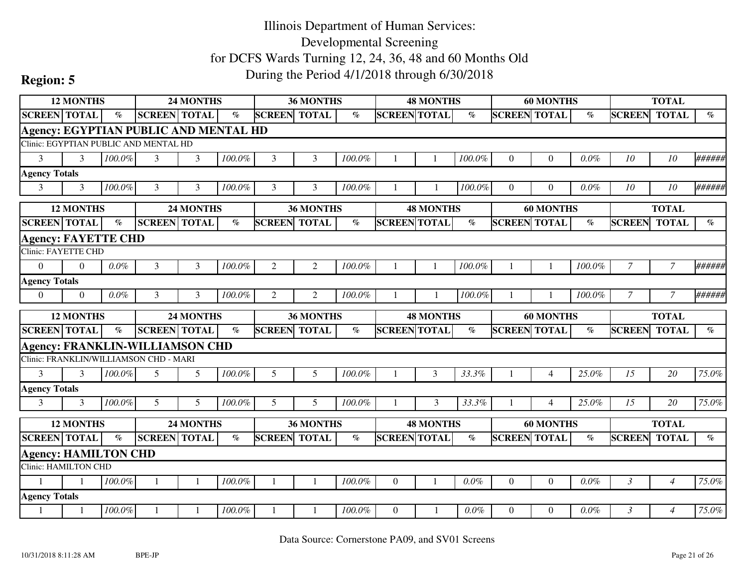|                             | <b>12 MONTHS</b> |         |                                              | <b>24 MONTHS</b> |        |                     | 36 MONTHS        |        |                     | <b>48 MONTHS</b> |           |                     | <b>60 MONTHS</b> |        |                | <b>TOTAL</b>   |                             |
|-----------------------------|------------------|---------|----------------------------------------------|------------------|--------|---------------------|------------------|--------|---------------------|------------------|-----------|---------------------|------------------|--------|----------------|----------------|-----------------------------|
| <b>SCREEN TOTAL</b>         |                  | $\%$    | <b>SCREEN TOTAL</b>                          |                  | $\%$   | <b>SCREEN</b>       | <b>TOTAL</b>     | $\%$   | <b>SCREEN TOTAL</b> |                  | $\%$      | <b>SCREEN TOTAL</b> |                  | $\%$   | <b>SCREEN</b>  | <b>TOTAL</b>   | $\mathcal{O}_{\mathcal{O}}$ |
|                             |                  |         | <b>Agency: EGYPTIAN PUBLIC AND MENTAL HD</b> |                  |        |                     |                  |        |                     |                  |           |                     |                  |        |                |                |                             |
|                             |                  |         | Clinic: EGYPTIAN PUBLIC AND MENTAL HD        |                  |        |                     |                  |        |                     |                  |           |                     |                  |        |                |                |                             |
| 3                           | 3                | 100.0%  | 3                                            | 3                | 100.0% | 3                   | 3                | 100.0% |                     |                  | 100.0%    | $\Omega$            | $\overline{0}$   | 0.0%   | 10             | 10             | ######                      |
| <b>Agency Totals</b>        |                  |         |                                              |                  |        |                     |                  |        |                     |                  |           |                     |                  |        |                |                |                             |
| $\overline{3}$              | 3                | 100.0%  | 3                                            | 3                | 100.0% | 3                   | 3                | 100.0% |                     |                  | 100.0%    | $\Omega$            | $\Omega$         | 0.0%   | 10             | 10             | ######                      |
|                             | <b>12 MONTHS</b> |         |                                              | <b>24 MONTHS</b> |        |                     | <b>36 MONTHS</b> |        |                     | <b>48 MONTHS</b> |           |                     | <b>60 MONTHS</b> |        |                | <b>TOTAL</b>   |                             |
| <b>SCREEN</b> TOTAL         |                  | $\%$    | <b>SCREEN</b> TOTAL                          |                  | $\%$   | <b>SCREEN</b>       | <b>TOTAL</b>     | $\%$   | <b>SCREEN TOTAL</b> |                  | $\%$      | <b>SCREEN</b>       | <b>TOTAL</b>     | $\%$   | <b>SCREEN</b>  | <b>TOTAL</b>   | $\%$                        |
| <b>Agency: FAYETTE CHD</b>  |                  |         |                                              |                  |        |                     |                  |        |                     |                  |           |                     |                  |        |                |                |                             |
| <b>Clinic: FAYETTE CHD</b>  |                  |         |                                              |                  |        |                     |                  |        |                     |                  |           |                     |                  |        |                |                |                             |
| $\Omega$                    | $\Omega$         | 0.0%    | 3                                            | 3                | 100.0% | 2                   | 2                | 100.0% |                     |                  | $100.0\%$ |                     |                  | 100.0% | $\overline{7}$ | $\overline{7}$ | ######                      |
| <b>Agency Totals</b>        |                  |         |                                              |                  |        |                     |                  |        |                     |                  |           |                     |                  |        |                |                |                             |
| $\overline{0}$              | $\Omega$         | $0.0\%$ | 3                                            | 3                | 100.0% | 2                   | 2                | 100.0% |                     |                  | 100.0%    |                     |                  | 100.0% | $\overline{7}$ | $\mathcal{I}$  | ######                      |
|                             |                  |         |                                              |                  |        |                     |                  |        |                     |                  |           |                     |                  |        |                |                |                             |
|                             | <b>12 MONTHS</b> |         |                                              | <b>24 MONTHS</b> |        |                     | <b>36 MONTHS</b> |        |                     | <b>48 MONTHS</b> |           |                     | <b>60 MONTHS</b> |        |                | <b>TOTAL</b>   |                             |
| <b>SCREEN TOTAL</b>         |                  | $\%$    | <b>SCREEN TOTAL</b>                          |                  | $\%$   | <b>SCREEN TOTAL</b> |                  | $\%$   | <b>SCREEN TOTAL</b> |                  | $\%$      | <b>SCREEN TOTAL</b> |                  | $\%$   | <b>SCREEN</b>  | <b>TOTAL</b>   | $\%$                        |
|                             |                  |         | <b>Agency: FRANKLIN-WILLIAMSON CHD</b>       |                  |        |                     |                  |        |                     |                  |           |                     |                  |        |                |                |                             |
|                             |                  |         | Clinic: FRANKLIN/WILLIAMSON CHD - MARI       |                  |        |                     |                  |        |                     |                  |           |                     |                  |        |                |                |                             |
| 3                           | $\mathbf{3}$     | 100.0%  | 5                                            | 5                | 100.0% | 5                   | 5                | 100.0% |                     | 3                | 33.3%     |                     | $\overline{4}$   | 25.0%  | 15             | 20             | 75.0%                       |
| <b>Agency Totals</b>        |                  |         |                                              |                  |        |                     |                  |        |                     |                  |           |                     |                  |        |                |                |                             |
| 3                           | $\mathbf{3}$     | 100.0%  | 5                                            | 5                | 100.0% | 5                   | 5                | 100.0% |                     | 3                | 33.3%     |                     | $\overline{4}$   | 25.0%  | 15             | 20             | 75.0%                       |
|                             | <b>12 MONTHS</b> |         |                                              | 24 MONTHS        |        |                     | 36 MONTHS        |        |                     | <b>48 MONTHS</b> |           |                     | <b>60 MONTHS</b> |        |                | <b>TOTAL</b>   |                             |
| <b>SCREEN TOTAL</b>         |                  | $\%$    | <b>SCREEN TOTAL</b>                          |                  | $\%$   | <b>SCREEN TOTAL</b> |                  | $\%$   | <b>SCREEN TOTAL</b> |                  | $\%$      | <b>SCREEN TOTAL</b> |                  | $\%$   | <b>SCREEN</b>  | <b>TOTAL</b>   | $\%$                        |
| <b>Agency: HAMILTON CHD</b> |                  |         |                                              |                  |        |                     |                  |        |                     |                  |           |                     |                  |        |                |                |                             |
| Clinic: HAMILTON CHD        |                  |         |                                              |                  |        |                     |                  |        |                     |                  |           |                     |                  |        |                |                |                             |
| 1                           |                  | 100.0%  | $\mathbf{1}$                                 |                  | 100.0% |                     |                  | 100.0% | $\Omega$            |                  | $0.0\%$   | $\theta$            | $\overline{0}$   | 0.0%   | $\mathfrak{Z}$ | $\overline{4}$ | 75.0%                       |
| <b>Agency Totals</b>        |                  |         |                                              |                  |        |                     |                  |        |                     |                  |           |                     |                  |        |                |                |                             |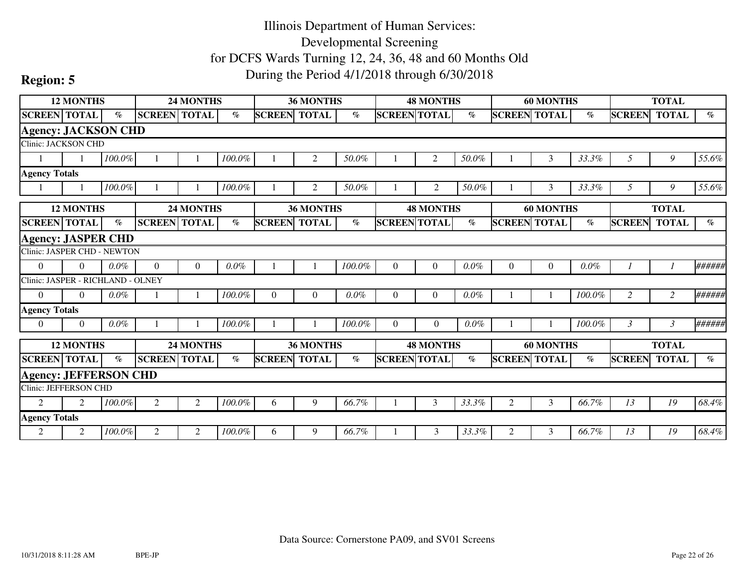|                                   | <b>12 MONTHS</b> |                 |                     | 24 MONTHS        |         |                     | <b>36 MONTHS</b> |         |                     | <b>48 MONTHS</b> |         |                     | <b>60 MONTHS</b> |         |               | <b>TOTAL</b> |                             |
|-----------------------------------|------------------|-----------------|---------------------|------------------|---------|---------------------|------------------|---------|---------------------|------------------|---------|---------------------|------------------|---------|---------------|--------------|-----------------------------|
| <b>SCREEN TOTAL</b>               |                  | $\%$            | <b>SCREEN TOTAL</b> |                  | $\%$    | <b>SCREEN</b>       | <b>TOTAL</b>     | $\%$    | <b>SCREEN TOTAL</b> |                  | $\%$    | <b>SCREEN</b>       | <b>TOTAL</b>     | $\%$    | <b>SCREEN</b> | <b>TOTAL</b> | $\%$                        |
| <b>Agency: JACKSON CHD</b>        |                  |                 |                     |                  |         |                     |                  |         |                     |                  |         |                     |                  |         |               |              |                             |
| Clinic: JACKSON CHD               |                  |                 |                     |                  |         |                     |                  |         |                     |                  |         |                     |                  |         |               |              |                             |
|                                   |                  | 100.0%          |                     |                  | 100.0%  |                     | $\overline{2}$   | 50.0%   |                     | $\overline{2}$   | 50.0%   |                     | 3                | 33.3%   | 5             | 9            | 55.6%                       |
| <b>Agency Totals</b>              |                  |                 |                     |                  |         |                     |                  |         |                     |                  |         |                     |                  |         |               |              |                             |
|                                   |                  | 100.0%          |                     |                  | 100.0%  |                     | 2                | 50.0%   |                     | 2                | 50.0%   |                     | 3                | 33.3%   | 5             | 9            | 55.6%                       |
|                                   | <b>12 MONTHS</b> |                 |                     | <b>24 MONTHS</b> |         |                     | <b>36 MONTHS</b> |         |                     | <b>48 MONTHS</b> |         |                     | <b>60 MONTHS</b> |         |               | <b>TOTAL</b> |                             |
| <b>SCREEN TOTAL</b>               |                  | $\mathcal{O}_0$ | <b>SCREEN TOTAL</b> |                  | $\%$    | <b>SCREEN</b>       | <b>TOTAL</b>     | $\%$    | <b>SCREEN TOTAL</b> |                  | $\%$    | <b>SCREEN TOTAL</b> |                  | $\%$    | <b>SCREEN</b> | <b>TOTAL</b> | $\mathcal{O}_{\mathcal{O}}$ |
| <b>Agency: JASPER CHD</b>         |                  |                 |                     |                  |         |                     |                  |         |                     |                  |         |                     |                  |         |               |              |                             |
| Clinic: JASPER CHD - NEWTON       |                  |                 |                     |                  |         |                     |                  |         |                     |                  |         |                     |                  |         |               |              |                             |
| $\theta$                          | $\Omega$         | $0.0\%$         | $\Omega$            | $\theta$         | $0.0\%$ |                     |                  | 100.0%  | $\Omega$            | $\overline{0}$   | 0.0%    | $\overline{0}$      | $\boldsymbol{0}$ | $0.0\%$ |               |              | ######                      |
| Clinic: JASPER - RICHLAND - OLNEY |                  |                 |                     |                  |         |                     |                  |         |                     |                  |         |                     |                  |         |               |              |                             |
| $\Omega$                          | $\Omega$         | $0.0\%$         |                     |                  | 100.0%  | $\Omega$            | $\overline{0}$   | $0.0\%$ | $\overline{0}$      | $\Omega$         | $0.0\%$ |                     |                  | 100.0%  | 2             | 2            | ######                      |
| <b>Agency Totals</b>              |                  |                 |                     |                  |         |                     |                  |         |                     |                  |         |                     |                  |         |               |              |                             |
| $\overline{0}$                    | $\Omega$         | $0.0\%$         |                     |                  | 100.0%  |                     |                  | 100.0%  | $\Omega$            | $\Omega$         | $0.0\%$ |                     |                  | 100.0%  | 3             | 3            | ######                      |
|                                   | <b>12 MONTHS</b> |                 |                     | <b>24 MONTHS</b> |         |                     | <b>36 MONTHS</b> |         |                     | <b>48 MONTHS</b> |         |                     | <b>60 MONTHS</b> |         |               | <b>TOTAL</b> |                             |
| <b>SCREEN TOTAL</b>               |                  | $\%$            | <b>SCREEN</b> TOTAL |                  | $\%$    | <b>SCREEN TOTAL</b> |                  | $\%$    | <b>SCREEN TOTAL</b> |                  | $\%$    | <b>SCREEN TOTAL</b> |                  | $\%$    | <b>SCREEN</b> | <b>TOTAL</b> | $\mathcal{O}_{\mathcal{O}}$ |
| <b>Agency: JEFFERSON CHD</b>      |                  |                 |                     |                  |         |                     |                  |         |                     |                  |         |                     |                  |         |               |              |                             |
| <b>Clinic: JEFFERSON CHD</b>      |                  |                 |                     |                  |         |                     |                  |         |                     |                  |         |                     |                  |         |               |              |                             |
| $\overline{2}$                    | 2                | 100.0%          | $\overline{2}$      | 2                | 100.0%  | 6                   | 9                | 66.7%   |                     | 3                | 33.3%   | $\overline{2}$      | 3                | 66.7%   | 13            | 19           | 68.4%                       |
| <b>Agency Totals</b>              |                  |                 |                     |                  |         |                     |                  |         |                     |                  |         |                     |                  |         |               |              |                             |
| 2                                 | 2                | 100.0%          | 2                   | 2                | 100.0%  | 6                   | 9                | 66.7%   |                     | 3                | 33.3%   | 2                   | 3                | 66.7%   | 13            | 19           | 68.4%                       |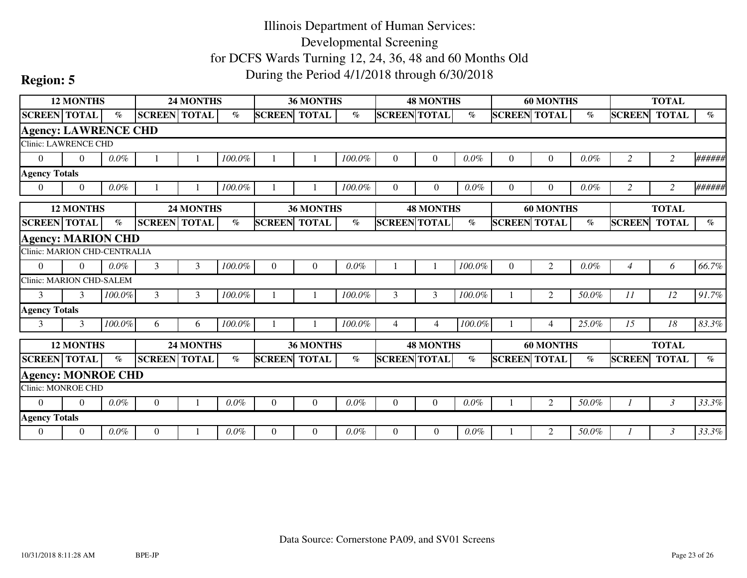|                                 | <b>12 MONTHS</b> |         |                     | <b>24 MONTHS</b> |         |                     | 36 MONTHS        |         |                     | <b>48 MONTHS</b> |         |                     | <b>60 MONTHS</b> |         |                | <b>TOTAL</b>   |                             |
|---------------------------------|------------------|---------|---------------------|------------------|---------|---------------------|------------------|---------|---------------------|------------------|---------|---------------------|------------------|---------|----------------|----------------|-----------------------------|
| <b>SCREEN TOTAL</b>             |                  | $\%$    | <b>SCREEN TOTAL</b> |                  | $\%$    | <b>SCREEN</b>       | <b>TOTAL</b>     | $\%$    | <b>SCREEN TOTAL</b> |                  | $\%$    | <b>SCREEN TOTAL</b> |                  | $\%$    | <b>SCREEN</b>  | <b>TOTAL</b>   | $\%$                        |
| <b>Agency: LAWRENCE CHD</b>     |                  |         |                     |                  |         |                     |                  |         |                     |                  |         |                     |                  |         |                |                |                             |
| <b>Clinic: LAWRENCE CHD</b>     |                  |         |                     |                  |         |                     |                  |         |                     |                  |         |                     |                  |         |                |                |                             |
| $\overline{0}$                  | $\Omega$         | 0.0%    |                     |                  | 100.0%  |                     |                  | 100.0%  | $\Omega$            | 0                | $0.0\%$ | $\boldsymbol{0}$    | $\boldsymbol{0}$ | $0.0\%$ | $\overline{c}$ | $\overline{c}$ | ######                      |
| <b>Agency Totals</b>            |                  |         |                     |                  |         |                     |                  |         |                     |                  |         |                     |                  |         |                |                |                             |
| $\overline{0}$                  | $\Omega$         | $0.0\%$ |                     |                  | 100.0%  |                     |                  | 100.0%  | $\Omega$            | $\overline{0}$   | $0.0\%$ | $\Omega$            | $\overline{0}$   | $0.0\%$ | 2              | 2              | ######                      |
|                                 | <b>12 MONTHS</b> |         |                     | <b>24 MONTHS</b> |         |                     | <b>36 MONTHS</b> |         |                     | <b>48 MONTHS</b> |         |                     | <b>60 MONTHS</b> |         |                | <b>TOTAL</b>   |                             |
| <b>SCREEN TOTAL</b>             |                  | $\%$    | <b>SCREEN TOTAL</b> |                  | $\%$    | <b>SCREEN</b>       | <b>TOTAL</b>     | $\%$    | <b>SCREEN TOTAL</b> |                  | $\%$    | <b>SCREEN TOTAL</b> |                  | $\%$    | <b>SCREEN</b>  | <b>TOTAL</b>   | $\%$                        |
| <b>Agency: MARION CHD</b>       |                  |         |                     |                  |         |                     |                  |         |                     |                  |         |                     |                  |         |                |                |                             |
| Clinic: MARION CHD-CENTRALIA    |                  |         |                     |                  |         |                     |                  |         |                     |                  |         |                     |                  |         |                |                |                             |
| $\theta$                        | $\Omega$         | $0.0\%$ | 3                   | 3                | 100.0%  | $\Omega$            | $\overline{0}$   | $0.0\%$ |                     |                  | 100.0%  | $\mathbf{0}$        | $\overline{2}$   | 0.0%    | $\overline{4}$ | 6              | 66.7%                       |
| <b>Clinic: MARION CHD-SALEM</b> |                  |         |                     |                  |         |                     |                  |         |                     |                  |         |                     |                  |         |                |                |                             |
| 3                               | $\mathcal{L}$    | 100.0%  | $\overline{3}$      | 3                | 100.0%  |                     |                  | 100.0%  | 3                   | $\mathfrak{Z}$   | 100.0%  |                     | $\overline{2}$   | 50.0%   | 11             | 12             | 91.7%                       |
| <b>Agency Totals</b>            |                  |         |                     |                  |         |                     |                  |         |                     |                  |         |                     |                  |         |                |                |                             |
| 3                               | 3                | 100.0%  | 6                   | 6                | 100.0%  |                     |                  | 100.0%  | 4                   | 4                | 100.0%  |                     | $\overline{4}$   | 25.0%   | 15             | 18             | 83.3%                       |
|                                 | <b>12 MONTHS</b> |         |                     | <b>24 MONTHS</b> |         |                     | 36 MONTHS        |         |                     | <b>48 MONTHS</b> |         |                     | <b>60 MONTHS</b> |         |                | <b>TOTAL</b>   |                             |
| <b>SCREEN TOTAL</b>             |                  | $\%$    | <b>SCREEN</b> TOTAL |                  | $\%$    | <b>SCREEN TOTAL</b> |                  | $\%$    | <b>SCREEN TOTAL</b> |                  | $\%$    | <b>SCREEN TOTAL</b> |                  | $\%$    | <b>SCREEN</b>  | <b>TOTAL</b>   | $\mathcal{G}_{\mathcal{O}}$ |
| <b>Agency: MONROE CHD</b>       |                  |         |                     |                  |         |                     |                  |         |                     |                  |         |                     |                  |         |                |                |                             |
| <b>Clinic: MONROE CHD</b>       |                  |         |                     |                  |         |                     |                  |         |                     |                  |         |                     |                  |         |                |                |                             |
| $\theta$                        | $\Omega$         | 0.0%    | $\overline{0}$      |                  | $0.0\%$ | $\Omega$            | $\theta$         | $0.0\%$ | $\Omega$            | $\Omega$         | $0.0\%$ |                     | $\overline{2}$   | 50.0%   |                | $\mathfrak{Z}$ | 33.3%                       |
| <b>Agency Totals</b>            |                  |         |                     |                  |         |                     |                  |         |                     |                  |         |                     |                  |         |                |                |                             |
| $\theta$                        | $\Omega$         | $0.0\%$ | $\theta$            |                  | $0.0\%$ | $\Omega$            | $\Omega$         | 0.0%    | $\Omega$            | $\Omega$         | $0.0\%$ |                     | 2                | 50.0%   |                | 3              | 33.3%                       |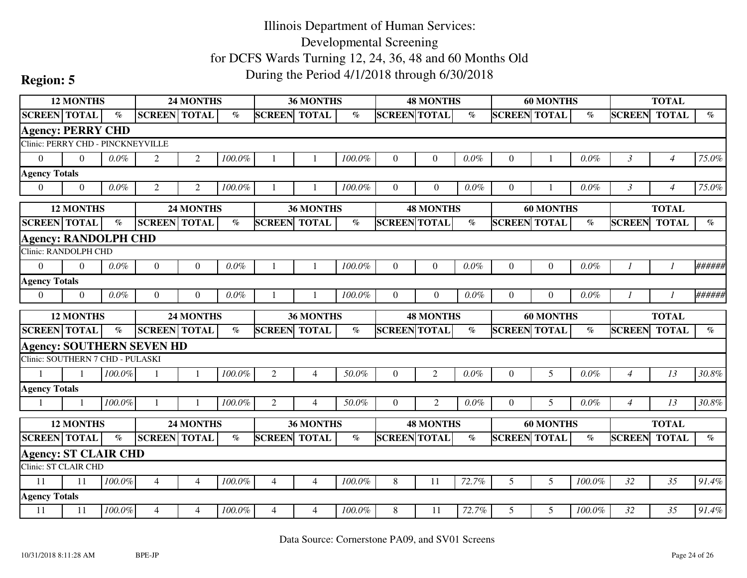|                                   | <b>12 MONTHS</b> |                 |                                  | <b>24 MONTHS</b> |                       |                     | <b>36 MONTHS</b> |                             |                     | <b>48 MONTHS</b> |                       |                     | <b>60 MONTHS</b> |         |                | <b>TOTAL</b>   |                             |
|-----------------------------------|------------------|-----------------|----------------------------------|------------------|-----------------------|---------------------|------------------|-----------------------------|---------------------|------------------|-----------------------|---------------------|------------------|---------|----------------|----------------|-----------------------------|
| <b>SCREEN TOTAL</b>               |                  | $\mathcal{O}_0$ | <b>SCREEN TOTAL</b>              |                  | %                     | <b>SCREEN</b>       | <b>TOTAL</b>     | $\mathcal{O}_{\mathcal{O}}$ | <b>SCREEN TOTAL</b> |                  | $\%$                  | <b>SCREEN TOTAL</b> |                  | $\%$    | <b>SCREEN</b>  | <b>TOTAL</b>   | $\mathcal{O}_{\mathcal{O}}$ |
| <b>Agency: PERRY CHD</b>          |                  |                 |                                  |                  |                       |                     |                  |                             |                     |                  |                       |                     |                  |         |                |                |                             |
| Clinic: PERRY CHD - PINCKNEYVILLE |                  |                 |                                  |                  |                       |                     |                  |                             |                     |                  |                       |                     |                  |         |                |                |                             |
| $\overline{0}$                    | $\Omega$         | $0.0\%$         | $\overline{2}$                   | $\overline{2}$   | 100.0%                |                     |                  | 100.0%                      | $\overline{0}$      | $\overline{0}$   | $0.0\%$               | $\mathbf{0}$        |                  | 0.0%    | $\mathfrak{Z}$ | $\overline{4}$ | 75.0%                       |
| <b>Agency Totals</b>              |                  |                 |                                  |                  |                       |                     |                  |                             |                     |                  |                       |                     |                  |         |                |                |                             |
| $\Omega$                          | $\theta$         | $0.0\%$         | $\overline{2}$                   | $\overline{2}$   | 100.0%                |                     |                  | 100.0%                      | $\Omega$            | $\Omega$         | 0.0%                  | $\theta$            |                  | 0.0%    | $\mathcal{E}$  | $\overline{4}$ | 75.0%                       |
|                                   | <b>12 MONTHS</b> |                 |                                  | <b>24 MONTHS</b> |                       |                     | <b>36 MONTHS</b> |                             |                     | <b>48 MONTHS</b> |                       |                     | <b>60 MONTHS</b> |         |                | <b>TOTAL</b>   |                             |
| <b>SCREEN TOTAL</b>               |                  | $\%$            | <b>SCREEN TOTAL</b>              |                  | $\emph{v}_{\emph{0}}$ | <b>SCREEN</b>       | <b>TOTAL</b>     | $\%$                        | <b>SCREEN TOTAL</b> |                  | $\%$                  | <b>SCREEN TOTAL</b> |                  | $\%$    | <b>SCREEN</b>  | <b>TOTAL</b>   | $\%$                        |
| <b>Agency: RANDOLPH CHD</b>       |                  |                 |                                  |                  |                       |                     |                  |                             |                     |                  |                       |                     |                  |         |                |                |                             |
| <b>Clinic: RANDOLPH CHD</b>       |                  |                 |                                  |                  |                       |                     |                  |                             |                     |                  |                       |                     |                  |         |                |                |                             |
| $\Omega$                          | $\Omega$         | $0.0\%$         | $\overline{0}$                   | $\Omega$         | $0.0\%$               |                     | -1               | 100.0%                      | $\Omega$            | $\theta$         | $0.0\%$               | $\overline{0}$      | $\overline{0}$   | 0.0%    | 1              | $\mathcal{I}$  | ######                      |
| <b>Agency Totals</b>              |                  |                 |                                  |                  |                       |                     |                  |                             |                     |                  |                       |                     |                  |         |                |                |                             |
| $\mathbf{0}$                      | $\Omega$         | 0.0%            | $\theta$                         | $\Omega$         | $0.0\%$               |                     |                  | 100.0%                      | $\Omega$            | $\theta$         | $0.0\%$               | $\overline{0}$      | $\overline{0}$   | $0.0\%$ |                |                | ######                      |
|                                   | <b>12 MONTHS</b> |                 |                                  | 24 MONTHS        |                       |                     | <b>36 MONTHS</b> |                             |                     | <b>48 MONTHS</b> |                       |                     | <b>60 MONTHS</b> |         |                | <b>TOTAL</b>   |                             |
|                                   |                  |                 |                                  |                  |                       |                     |                  |                             |                     |                  |                       |                     |                  |         |                |                |                             |
| <b>SCREEN TOTAL</b>               |                  | $\%$            | <b>SCREEN TOTAL</b>              |                  | $\emph{v}_{\emph{0}}$ | <b>SCREEN</b>       | <b>TOTAL</b>     | $\emph{v}_{\emph{0}}$       | <b>SCREEN TOTAL</b> |                  | $\emph{v}_{\emph{0}}$ | <b>SCREEN TOTAL</b> |                  | $\%$    | <b>SCREEN</b>  | <b>TOTAL</b>   | $\%$                        |
|                                   |                  |                 | <b>Agency: SOUTHERN SEVEN HD</b> |                  |                       |                     |                  |                             |                     |                  |                       |                     |                  |         |                |                |                             |
| Clinic: SOUTHERN 7 CHD - PULASKI  |                  |                 |                                  |                  |                       |                     |                  |                             |                     |                  |                       |                     |                  |         |                |                |                             |
|                                   |                  | 100.0%          |                                  |                  | 100.0%                | 2                   | $\overline{4}$   | 50.0%                       | $\theta$            | $\overline{2}$   | $0.0\%$               | $\overline{0}$      | 5                | 0.0%    | $\overline{4}$ | 13             | $30.8\%$                    |
| <b>Agency Totals</b>              |                  |                 |                                  |                  |                       |                     |                  |                             |                     |                  |                       |                     |                  |         |                |                |                             |
|                                   |                  | 100.0%          | -1                               |                  | 100.0%                | 2                   | 4                | 50.0%                       | $\Omega$            | $\overline{2}$   | $0.0\%$               | $\theta$            | 5                | $0.0\%$ | $\overline{4}$ | 13             | 30.8%                       |
|                                   | <b>12 MONTHS</b> |                 |                                  | 24 MONTHS        |                       |                     | 36 MONTHS        |                             |                     | <b>48 MONTHS</b> |                       |                     | <b>60 MONTHS</b> |         |                | <b>TOTAL</b>   |                             |
| <b>SCREEN TOTAL</b>               |                  | $\%$            | <b>SCREEN TOTAL</b>              |                  | $\%$                  | <b>SCREEN TOTAL</b> |                  | $\%$                        | <b>SCREEN TOTAL</b> |                  | $\%$                  | <b>SCREEN TOTAL</b> |                  | $\%$    | <b>SCREEN</b>  | <b>TOTAL</b>   | $\%$                        |
| <b>Agency: ST CLAIR CHD</b>       |                  |                 |                                  |                  |                       |                     |                  |                             |                     |                  |                       |                     |                  |         |                |                |                             |
| Clinic: ST CLAIR CHD              |                  |                 |                                  |                  |                       |                     |                  |                             |                     |                  |                       |                     |                  |         |                |                |                             |
| 11                                | 11               | 100.0%          | $\overline{4}$                   | $\overline{4}$   | 100.0%                | $\overline{4}$      | $\overline{4}$   | 100.0%                      | 8                   | 11               | 72.7%                 | 5                   | 5                | 100.0%  | 32             | 35             | 91.4%                       |
| <b>Agency Totals</b>              |                  |                 |                                  |                  |                       |                     |                  |                             |                     |                  |                       |                     |                  |         |                |                |                             |